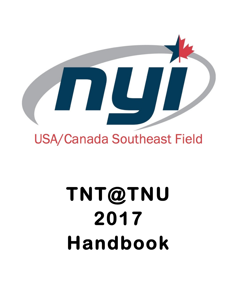

# **TNT@TNU 2017 Handbook**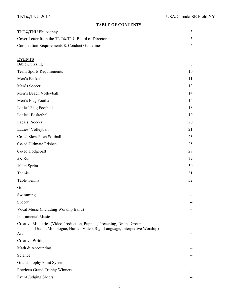## **TABLE OF CONTENTS**

| TNT@TNU Philosophy                                                                                                                            | $\overline{3}$ |
|-----------------------------------------------------------------------------------------------------------------------------------------------|----------------|
| Cover Letter from the TNT@TNU Board of Directors                                                                                              | 5              |
| Competition Requirements & Conduct Guidelines                                                                                                 | 6              |
|                                                                                                                                               |                |
| <b>EVENTS</b><br><b>Bible Quizzing</b>                                                                                                        | 8              |
| <b>Team Sports Requirements</b>                                                                                                               | 10             |
| Men's Basketball                                                                                                                              | 11             |
| Men's Soccer                                                                                                                                  | 13             |
| Men's Beach Volleyball                                                                                                                        | 14             |
| Men's Flag Football                                                                                                                           | 15             |
| Ladies' Flag Football                                                                                                                         | 18             |
| Ladies' Basketball                                                                                                                            | 19             |
| Ladies' Soccer                                                                                                                                | 20             |
| Ladies' Volleyball                                                                                                                            | 21             |
| Co-ed Slow Pitch Softball                                                                                                                     | 23             |
| Co-ed Ultimate Frisbee                                                                                                                        | 25             |
| Co-ed Dodgeball                                                                                                                               | 27             |
| 5K Run                                                                                                                                        | 29             |
| 100m Sprint                                                                                                                                   | 30             |
| Tennis                                                                                                                                        | 31             |
| Table Tennis                                                                                                                                  | 32             |
| Golf                                                                                                                                          |                |
| Swimming                                                                                                                                      |                |
| Speech                                                                                                                                        |                |
| Vocal Music (including Worship Band)                                                                                                          |                |
| <b>Instrumental Music</b>                                                                                                                     |                |
| Creative Ministries (Video Production, Puppets, Preaching, Drama Group,<br>Drama Monologue, Human Video, Sign Language, Interpretive Worship) |                |
| Art                                                                                                                                           |                |
| <b>Creative Writing</b>                                                                                                                       |                |
| Math & Accounting                                                                                                                             |                |
| Science                                                                                                                                       |                |
| <b>Grand Trophy Point System</b>                                                                                                              |                |
| Previous Grand Trophy Winners                                                                                                                 |                |
| <b>Event Judging Sheets</b>                                                                                                                   |                |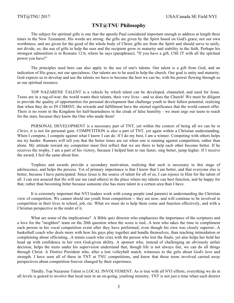# **TNT@TNU Philosophy**

The subject for spiritual gifts is one that the apostle Paul considered important enough to address at length three times in the New Testament. His words are strong: the gifts are given by the Spirit based on God's grace, not our own worthiness, and are given for the good of the whole body of Christ; gifts are from the Spirit and should serve to unify, not divide, us; the use of gifts to help the user and the recipient grow to maturity and stability in the faith. Perhaps his strongest admonition is in Romans 12:6, where he says (paraphrase), "If you have a gift, USE IT with all the spiritual power you have!"

The principles used here can also apply to the use of one's talents. Our talent is a gift from God, and an indication of His grace, not our specialness. Our talents are to be used to help the church. Our goal is unity and maturity. God expects us to develop and use the talents we have to become the best we can be, with his power flowing through us as our spiritual resource.

TOP NAZARENE TALENT is a vehicle by which talent can be developed, channeled, and used for Jesus. Teens are in a tug-of-war; the world wants their talents, their very lives - and so does the Church! We must be diligent to provide the quality of opportunities for personal development that challenge youth to their fullest potential, realizing that when they do so IN CHRIST, the rewards and fulfillment have the eternal significance that the world cannot offer. There is no room in the Kingdom for half-heartedness in the cloak of false humility - we must urge our teens to reach for the stars, because they know the One who made them!

PERSONAL DEVELOPMENT is a necessary part of TNT, yet within the context of being all we can be *in Christ*, it is not for personal gain. COMPETITION is also a part of TNT, yet again within a Christian understanding. When I compete, I compete against what I know I can do. If I do my best, I am a winner. Competing with others helps me try harder. Runners will tell you that the better times are set when one is running against competition, rather than alone. My attitude toward my competitor must first reflect that we are there to help each other become better. If he receives the trophy, I am a part of his victory, because I helped him to run faster, sing better, jump higher. If I receive the award, I feel the same about him.

Trophies and awards provide a secondary motivation, realizing that such is necessary to this stage of adolescence, and helps the process. Yet of primary importance is that I know that I am better, and that everyone else is better, because I have participated. Since Jesus is the source of talent for all of us, I can rejoice in Him for the talent of all. I can rest assured that He will use me (and others) in the place where my talents can best function, and be happy for that, rather than becoming bitter because someone else has more talent in a certain area than I have.

It is extremely important that NYI leaders work with young people (and parents) in understanding the Christian view of competition. We cannot shield our youth from competition -- they are now, and will continue to be involved in competition in their lives in school, job, etc. What we must do is help them come and function effectively, and with a Christian perspective in the midst of it.

What are some of the implications? A Bible quiz director who emphasizes the importance of the scriptures and a love for the "neighbor" team on the 20th question when the score is tied...A teen who takes the time to compliment each person in his vocal competition event after they have performed, even though his own was clearly superior...A basketball coach who deals more with how his guys play together and handle themselves, than teaching intimidation or complaining about officiating...A tennis coach who cries with the person who lost the finals, yet also helps her hold her head up with confidence in her own God-given ability. A sponsor who, instead of challenging an obviously unfair decision, helps the teens under his supervision understand that, though life is not always fair, we can do all things through Christ. A District President who, after a lost volleyball match, witnesses to the girls about God's love and strength. I have seen all of these in TNT at TNU competitions, and know that those teens involved carried away perspectives about competition forever changed by their experience.

Thirdly, Top Nazarene Talent is LOCAL INVOLVEMENT. As is true with all NYI efforts, everything we do at all levels is geared to involve that local teen in an on-going, yearlong ministry. TNT is not just a time when each district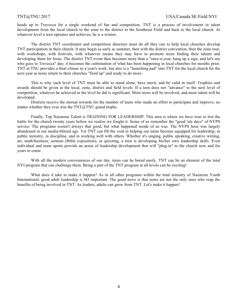heads up to Trevecca for a single weekend of fun and competition. TNT is a process of involvement in talent development from the local church to the zone to the district to the Southeast Field and back to the local church. At whatever level a teen operates and achieves, he is a winner.

The district TNT coordinator and competition directors must do all they can to help local churches develop TNT participation in their church. It may begin as early as summer, then with the district convention, then the zone tour, with workshops, with festivals, with whatever means they may have to promote teens finding their talents and developing them for Jesus. The district TNT event then becomes more than a "once-a-year, hang up a sign, and let's see who goes to Trevecca" day; it becomes the culmination of what has been happening in local churches for months prior. TNT at TNU provides a final climax to a year's work, but also is a "launching pad" into TNT for the local church for the next year as teens return to their churches "fired up" and ready to do more.

This is why each level of TNT must be able to stand alone, have merit, and be valid in itself. Trophies and awards should be given at the local, zone, district and field levels. If a teen does not "advance" to the next level of competition, whatever he achieved in the level he did is significant. More teens will be involved, and more talent will be developed.

Districts receive the eternal rewards for the number of teens who made an effort to participate and improve, no matter whether they ever win the  $TNT@TNU$  grand trophy.

Finally, Top Nazarene Talent is TRAINING FOR LEADERSHIP. This area is where we have won or lost the battle for the church twenty years before we realize we fought it. Some of us remember the "good 'ole days" of NYPS service. The programs weren't always that good, but what happened inside of us was. The NYPS hour was largely abandoned in our media-blitzed age. Yet TNT can fill the void in helping our teens become equipped for leadership, in public ministry, in discipline, and in working well with others. Whether it's singing, public speaking, creative writing, art, math/business, sermon (Bible exposition), or quizzing, a teen is developing his/her own leadership skills. Even individual and team sports provide an arena of leadership development that will "plug-in" to the church now and for years to come.

With all the modern conveniences of our day, teens can be bored easily. TNT can be an element of the total NYI program that can challenge them. Being a part of the TNT program at all levels can be exciting!

What does it take to make it happen? As in all other programs within the total ministry of Nazarene Youth International, good adult leadership is SO important. The good news is that teens are not the only ones who reap the benefits of being involved in TNT. As leaders, adults can grow from TNT. Let's make it happen!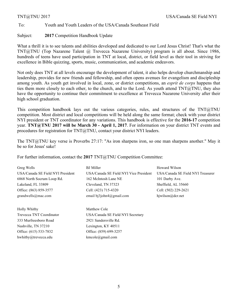#### To: Youth and Youth Leaders of the USA/Canada Southeast Field

#### Subject: **2017** Competition Handbook Update

What a thrill it is to see talents and abilities developed and dedicated to our Lord Jesus Christ! That's what the TNT@TNU (Top Nazarene Talent @ Trevecca Nazarene University) program is all about. Since 1986, hundreds of teens have used participation in TNT at local, district, or field level as their tool in striving for excellence in Bible quizzing, sports, music, communication, and academic endeavors.

Not only does TNT at all levels encourage the development of talent, it also helps develop churchmanship and leadership, provides for new friends and fellowship, and often opens avenues for evangelism and discipleship among youth. As youth get involved in local, zone, or district competitions, an *esprit de corps* happens that ties them more closely to each other, to the church, and to the Lord. As youth attend TNT@TNU, they also have the opportunity to continue their commitment to excellence at Trevecca Nazarene University after their high school graduation.

This competition handbook lays out the various categories, rules, and structures of the  $TNT@TNU$ competition. Most district and local competitions will be held along the same format; check with your district NYI president or TNT coordinator for any variations. This handbook is effective for the **2016-17** competition year. **TNT@TNU 2017 will be March 30 - April 1, 2017**. For information on your district TNT events and procedures for registration for TNT@TNU, contact your district NYI leaders.

The TNT@TNU key verse is Proverbs 27:17: "As iron sharpens iron, so one man sharpens another." May it be so for Jesus' sake!

For further information, contact the 2017 TNT@TNU Competition Committee:

| Greg Wells                        | <b>BJ</b> Miller                       | Howard Wilson                     |
|-----------------------------------|----------------------------------------|-----------------------------------|
| USA/Canada SE Field NYI President | USA/Canada SE Field NYI Vice President | USA/Canada SE Field NYI Treasurer |
| 6868 North Socrum Loop Rd.        | 162 McIntosh Lane NE                   | 101 Darby Ave.                    |
| Lakeland, FL 33809                | Cleveland, TN 37323                    | Sheffield, AL 35660               |
| Office: (863) 859-3577            | Cell: (423) 715-4320                   | Cell: (502) 229-2621              |
| grandwells@mac.com                | email bj3john4@gmail.com               | hjwilson@dcr.net                  |
|                                   |                                        |                                   |

Holly Whitby Matthew Cole 333 Murfreesboro Road 2921 Sandersville Rd. Nashville, TN 37210 Lexington, KY 40511 Office: (615) 533-7832 Office: (859) 699-3257 hwhitby@trevecca.edu kmcole@gmail.com

Trevecca TNT Coordinator USA/Canada SE Field NYI Secretary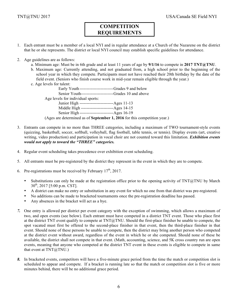# **COMPETITION REQUIREMENTS**

- 1. Each entrant must be a member of a local NYI and in regular attendance at a Church of the Nazarene on the district that he or she represents. The district or local NYI council may establish specific guidelines for attendance.
- 2. Age guidelines are as follows:
	- a. Minimum age: Must be in 6th grade and at least 11 years of age by **9/1/16** to compete in **2017 TNT@TNU**.
	- b. Maximum age: Currently attending, and not graduated from, a high school prior to the beginning of the school year in which they compete. Participants must not have reached their 20th birthday by the date of the field event. (Seniors who finish course work in mid-year remain eligible through the year.)
	- c. Age levels for talent:

Early Youth ------------------------Grades 9 and below Senior Youth-----------------------Grades 10 and above Age levels for individual sports: Junior High ------------------------Ages 11-13 Middle High -----------------------Ages 14-15 Senior High ------------------------Ages 16-19 (Ages are determined as of **September 1, 2016** for this competition year.)

- 3. Entrants can compete in no more than THREE categories, including a maximum of TWO tournament-style events (quizzing, basketball, soccer, softball, volleyball, flag football, table tennis, or tennis). Display events (art, creative writing, video production) and participation in vocal choir are not counted toward this limitation. *Exhibition events would not apply to toward the "THREE" categories.*
- 4. Regular event scheduling takes precedence over exhibition event scheduling.
- 5. All entrants must be pre-registered by the district they represent in the event in which they are to compete.
- 6. Pre-registrations must be received by February  $17<sup>th</sup>$ , 2017.
	- Substitutions can only be made at the registration office prior to the opening activity of TNT@TNU by March  $30^{th}$ , 2017 [5:00 p.m. CST].
	- A district can make no entry or substitution in any event for which no one from that district was pre-registered.
	- No additions can be made to bracketed tournaments once the pre-registration deadline has passed.
	- Any absences in the bracket will act as a bye.
- *7.* One entry is allowed per district per event category with the exception of swimming, which allows a maximum of two, and open events (see below). Each entrant must have competed in a district TNT event. Those who place first at the district TNT event qualify to compete at  $TNT@TNU$ . Should the first-place finisher be unable to compete, the spot vacated must first be offered to the second-place finisher in that event, then the third-place finisher in that event. Should none of these persons be unable to compete, then the district may bring another person who competed at the district event without award, regardless of the event in which he or she competed. Should none of these be available, the district shall not compete in that event. (Math, accounting, science, and 5K cross country run are open events, meaning that anyone who competed at the district TNT event in these events is eligible to compete in same that event at  $TNT@TNU$ .)
- *8.* In bracketed events, competitors will have a five-minute grace period from the time the match or competition slot is scheduled to appear and compete. If a bracket is running late so that the match or competition slot is five or more minutes behind, there will be no additional grace period.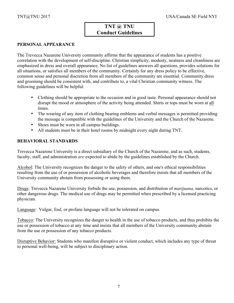# **TNT @ TNU Conduct Guidelines**

# **PERSONAL APPEARANCE**

The Trevecca Nazarene University community affirms that the appearance of students has a positive correlation with the development of self-discipline. Christian simplicity, modesty, neatness and cleanliness are emphasized in dress and overall appearance. No list of guidelines answers all questions, provides solutions for all situations, or satisfies all members of the community. Certainly for any dress policy to be effective, common sense and personal discretion from all members of the community are essential. Community dress and grooming should be consistent with, and contribute to, a vital Christian community witness. The following guidelines will be helpful:

- Clothing should be appropriate to the occasion and in good taste. Personal appearance should not disrupt the mood or atmosphere of the activity being attended. Shirts or tops must be worn at all times.
- The wearing of any item of clothing bearing emblems and verbal messages is permitted providing the message is compatible with the guidelines of the University and the Church of the Nazarene.
- Shoes must be worn in all campus buildings.
- All students must be in their hotel rooms by midnight every night during TNT.

#### **BEHAVIORAL STANDARDS**

Trevecca Nazarene University is a direct subsidiary of the Church of the Nazarene, and as such, students, faculty, staff, and administration *are* expected to abide by the guidelines established by the Church.

Alcohol: The University recognizes the danger to the safety of others, and one's ethical responsibilities resulting from the use of or possession of alcoholic beverages and therefore insists that all members of the University community abstain from possessing or using them.

Drugs: Trevecca Nazarene University forbids the use, possession, and distribution of *marijuana,* narcotics, or other dangerous drugs. The medical use of drugs may be permitted when prescribed by a licensed practicing physician.

Language: Vulgar, foul, or profane language will not be tolerated on campus.

Tobacco: The University recognizes the danger to health in the use of tobacco products, and thus prohibits the use or possession of tobacco at any time and insists that all members of the University community abstain from the use or possession of any tobacco products.

Disruptive Behavior: Students who manifest disruptive or violent conduct, which includes any type of threat to personal well-being, will be subject to disciplinary action.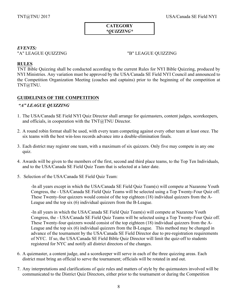#### **CATEGORY** *\*QUIZZING\**

## *EVENTS:*

"A" LEAGUE QUIZZING "B" LEAGUE QUIZZING

#### **RULES**

TNT Bible Quizzing shall be conducted according to the current Rules for NYI Bible Quizzing, produced by NYI Ministries. Any variation must be approved by the USA/Canada SE Field NYI Council and announced to the Competition Organization Meeting (coaches and captains) prior to the beginning of the competition at TNT@TNU.

# **GUIDELINES OF THE COMPETITION**

# *"A" LEAGUE QUIZZING*

- 1. The USA/Canada SE Field NYI Quiz Director shall arrange for quizmasters, content judges, scorekeepers, and officials, in cooperation with the  $TNT@TNU$  Director.
- 2. A round robin format shall be used, with every team competing against every other team at least once. The six teams with the best win-loss records advance into a double-elimination finals.
- 3. Each district may register one team, with a maximum of six quizzers. Only five may compete in any one quiz.
- 4. Awards will be given to the members of the first, second and third place teams, to the Top Ten Individuals, and to the USA/Canada SE Field Quiz Team that is selected at a later date.
- 5. Selection of the USA/Canada SE Field Quiz Team:

-In all years except in which the USA/Canada SE Field Quiz Team(s) will compete at Nazarene Youth Congress, the - USA/Canada SE Field Quiz Teams will be selected using a Top Twenty-Four Quiz off. These Twenty-four quizzers would consist of the top eighteen (18) individual quizzers from the A-League and the top six (6) individual quizzers from the B-League.

-In all years in which the USA/Canada SE Field Quiz Team(s) will compete at Nazarene Youth Congress, the - USA/Canada SE Field Quiz Teams will be selected using a Top Twenty-Four Quiz off. These Twenty-four quizzers would consist of the top eighteen (18) individual quizzers from the A-League and the top six (6) individual quizzers from the B-League. This method may be changed in advance of the tournament by the USA/Canada SE Field Director due to pre-registration requirements of NYC. If so, the USA/Canada SE Field Bible Quiz Director will limit the quiz-off to students registered for NYC and notify all district directors of the changes.

- 6. A quizmaster, a content judge, and a scorekeeper will serve in each of the three quizzing areas. Each district must bring an official to serve the tournament; officials will be rotated in and out.
- 7. Any interpretations and clarifications of quiz rules and matters of style by the quizmasters involved will be communicated to the District Quiz Directors, either prior to the tournament or during the Competition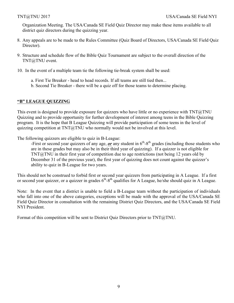Organization Meeting. The USA/Canada SE Field Quiz Director may make these items available to all district quiz directors during the quizzing year.

- 8. Any appeals are to be made to the Rules Committee (Quiz Board of Directors, USA/Canada SE Field Quiz Director).
- 9. Structure and schedule flow of the Bible Quiz Tournament are subject to the overall direction of the TNT@TNU event.
- 10. In the event of a multiple team tie the following tie-break system shall be used:
	- a. First Tie Breaker head to head records. If all teams are still tied then...
	- b. Second Tie Breaker there will be a quiz off for those teams to determine placing.

# **"B" LEAGUE QUIZZING**

This event is designed to provide exposure for quizzers who have little or no experience with  $TNT@TNU$ Quizzing and to provide opportunity for further development of interest among teens in the Bible Quizzing program. It is the hope that B League Quizzing will provide participation of some teens in the level of quizzing competition at  $TNT@TNU$  who normally would not be involved at this level.

The following quizzers are eligible to quiz in B-League:

-First or second year quizzers of any age,  $\rho r$  any student in  $6<sup>th</sup>$ -8<sup>th</sup> grades (including those students who are in these grades but may also be in their third year of quizzing). If a quizzer is not eligible for TNT@TNU in their first year of competition due to age restrictions (not being 12 years old by December 31 of the previous year), the first year of quizzing does not count against the quizzer's ability to quiz in B-League for two years.

This should not be construed to forbid first or second year quizzers from participating in A League. If a first or second year quizzer, or a quizzer in grades  $6<sup>th</sup>-8<sup>th</sup>$  qualifies for A League, he/she should quiz in A League.

Note: In the event that a district is unable to field a B-League team without the participation of individuals who fall into one of the above categories, exceptions will be made with the approval of the USA/Canada SE Field Quiz Director in consultation with the remaining District Quiz Directors, and the USA/Canada SE Field NYI President.

Format of this competition will be sent to District Quiz Directors prior to TNT@TNU.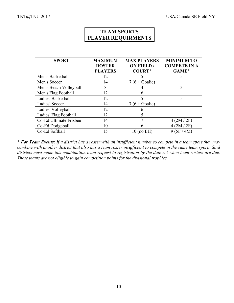| <b>TEAM SPORTS</b>        |
|---------------------------|
| <b>PLAYER REQUIRMENTS</b> |

| <b>SPORT</b>           | <b>MAXIMUM</b> | <b>MAX PLAYERS</b> | <b>MINIMUM TO</b>   |
|------------------------|----------------|--------------------|---------------------|
|                        | <b>ROSTER</b>  | <b>ON FIELD /</b>  | <b>COMPETE IN A</b> |
|                        | <b>PLAYERS</b> | <b>COURT*</b>      | GAME*               |
| Men's Basketball       | 12             |                    | 5                   |
| Men's Soccer           | 14             | $7(6 + Goalie)$    |                     |
| Men's Beach Volleyball | 8              |                    | 3                   |
| Men's Flag Football    | 12             | 6                  |                     |
| Ladies' Basketball     | 12             | 5                  | 5                   |
| Ladies' Soccer         | 14             | $7(6 + Goalie)$    |                     |
| Ladies' Volleyball     | 12             | 6                  |                     |
| Ladies' Flag Football  | 12             |                    |                     |
| Co-Ed Ultimate Frisbee | 14             |                    | 4 (2M / 2F)         |
| Co-Ed Dodgeball        | 10             | 6                  | 4 (2M / 2F)         |
| Co-Ed Softball         | 15             | $10$ (no EH)       | 9(5F/4M)            |

*\* For Team Events: If a district has a roster with an insufficient number to compete in a team sport they may combine with another district that also has a team roster insufficient to compete in the same team sport. Said districts must make this combination team request to registration by the date set when team rosters are due. These teams are not eligible to gain competition points for the divisional trophies.*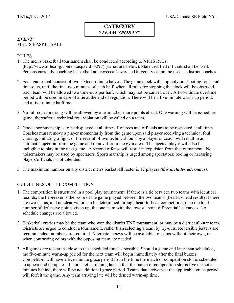# *EVENT:* MEN'S BASKETBALL

# RULES

- 1. The men's basketball tournament shall be conducted according to NFHS Rules. (http://www.nfhs.org/content.aspx?id=3297) (variations below). State certified officials shall be used. Persons currently coaching basketball at Trevecca Nazarene University cannot be used as district coaches.
- 2. Each game shall consist of two sixteen-minute halves. The game clock will stop only on shooting fouls and time-outs, until the final two minutes of each half, when all rules for stopping the clock will be observed. Each team will be allowed two time-outs per half, which may not be carried over. A two-minute overtime period will be used in case of a tie at the end of regulation. There will be a five-minute warm-up period, and a five-minute halftime.
- 3. No full-court pressing will be allowed by a team 20 or more points ahead. One warning will be issued per game; thereafter a technical foul violation will be called on a team.
- 4. Good sportsmanship is to be displayed at all times. Referees and officials are to be respected at all times. Coaches must remove a player momentarily from the game upon said player receiving a technical foul. Cursing, initiating a fight, or the receipt of two technical fouls by a player or coach will result in an automatic ejection from the game and removal from the gym area. The ejected player will also be ineligible to play in the next game. A second offense will result in expulsion from the tournament. No noisemakers may be used by spectators. Sportsmanship is urged among spectators; booing or harassing players/officials is not tolerated.
- 5. The maximum number on any district men's basketball roster is 12 players *(this includes alternates).*

- 1. The competition is structured in a pool play tournament. If there is a tie between two teams with identical records, the tiebreaker is the score of the game played between the two teams. (head-to-head result) If there are two teams, and no clear victor can be determined through head-to-head competition, then the total number of defensive points given up, the one team with the lowest "point differential" advances. No schedule changes are allowed.
- 2. Basketball entries may be the team who won the district TNT tournament, or may be a district all-star team. Districts are urged to conduct a tournament, rather than selecting a team by try-outs. Reversible jerseys are recommended; numbers are required. Alternate jerseys will be available to teams without their own, or when contrasting colors with the opposing team are needed.
- 3. All games are to start as close to the scheduled time as possible. Should a game end later than scheduled, the five-minute warm-up period for the next team will begin immediately after the final buzzer. Competitors will have a five-minute grace period from the time the match or competition slot is scheduled to appear and compete. If a bracket is running late so that the match or competition slot is five or more minutes behind, there will be no additional grace period. Teams that arrive past the applicable grace period will forfeit the game. Any team arriving late will be denied warm-up time.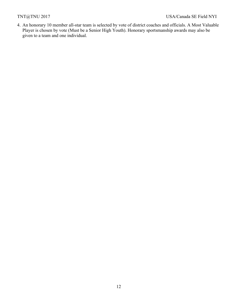4. An honorary 10 member all-star team is selected by vote of district coaches and officials. A Most Valuable Player is chosen by vote (Must be a Senior High Youth). Honorary sportsmanship awards may also be given to a team and one individual.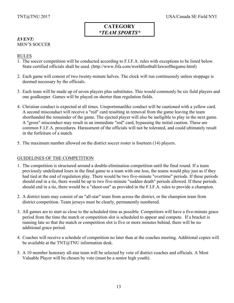## *EVENT:* MEN'S SOCCER

# RULES

- 1. The soccer competition will be conducted according to F.I.F.A. rules with exceptions to be listed below. State certified officials shall be used. (http://www.fifa.com/worldfootball/lawsofthegame.html)
- 2. Each game will consist of two twenty-minute halves. The clock will run continuously unless stoppage is deemed necessary by the officials.
- 3. Each team will be made up of seven players plus substitutes. This would commonly be six field players and one goalkeeper. Games will be played on shorter than regulation fields.
- 4. Christian conduct is expected at all times. Unsportsmanlike conduct will be cautioned with a yellow card. A second misconduct will receive a "red" card resulting in removal from the game leaving the team shorthanded the remainder of the game. The ejected player will also be ineligible to play in the next game. A "gross" misconduct may result in an immediate "red" card, bypassing the initial caution. These are common F.I.F.A. procedures. Harassment of the officials will not be tolerated, and could ultimately result in the forfeiture of a match.
- 5. The maximum number allowed on the district soccer roster is fourteen (14) players.

- 1. The competition is structured around a double-elimination competition until the final round. If a team previously undefeated loses in the final game to a team with one loss, the teams would play just as if they had tied at the end of regulation play. There would be two five-minute "overtime" periods. If these periods should end in a tie, there would be up to two five-minute "sudden death" periods allowed. If these periods should end in a tie, there would be a "shoot-out" as provided in the F.I.F.A. rules to provide a champion.
- 2. A district team may consist of an "all-star" team from across the district, or the champion team from district competition. Team jerseys must be clearly, permanently numbered.
- 3. All games are to start as close to the scheduled time as possible. Competitors will have a five-minute grace period from the time the match or competition slot is scheduled to appear and compete. If a bracket is running late so that the match or competition slot is five or more minutes behind, there will be no additional grace period.
- 4. Coaches will receive a schedule of competition no later than at the coaches meeting. Additional copies will be available at the  $TNT@TNU$  information desk.
- 5. A 10 member honorary all-star team will be selected by vote of district coaches and officials. A Most Valuable Player will be chosen by vote (must be a senior high youth).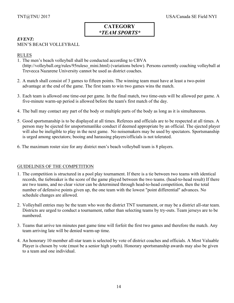#### *EVENT:* MEN'S BEACH VOLLEYBALL

## RULES

- 1. The men's beach volleyball shall be conducted according to CBVA (http://volleyball.org/rules/95ruleso\_mini.html) (variations below). Persons currently coaching volleyball at Trevecca Nazarene University cannot be used as district coaches.
- 2. A match shall consist of 3 games to fifteen points. The winning team must have at least a two-point advantage at the end of the game. The first team to win two games wins the match.
- 3. Each team is allowed one time-out per game. In the final match, two time-outs will be allowed per game. A five-minute warm-up period is allowed before the team's first match of the day.
- 4. The ball may contact any part of the body or multiple parts of the body as long as it is simultaneous.
- 5. Good sportsmanship is to be displayed at all times. Referees and officials are to be respected at all times. A person may be ejected for unsportsmanlike conduct if deemed appropriate by an official. The ejected player will also be ineligible to play in the next game. No noisemakers may be used by spectators. Sportsmanship is urged among spectators; booing and harassing players/officials is not tolerated.
- 6. The maximum roster size for any district men's beach volleyball team is 8 players.

- 1. The competition is structured in a pool play tournament. If there is a tie between two teams with identical records, the tiebreaker is the score of the game played between the two teams. (head-to-head result) If there are two teams, and no clear victor can be determined through head-to-head competition, then the total number of defensive points given up, the one team with the lowest "point differential" advances. No schedule changes are allowed.
- 2. Volleyball entries may be the team who won the district TNT tournament, or may be a district all-star team. Districts are urged to conduct a tournament, rather than selecting teams by try-outs. Team jerseys are to be numbered.
- 3. Teams that arrive ten minutes past game time will forfeit the first two games and therefore the match. Any team arriving late will be denied warm-up time.
- 4. An honorary 10 member all-star team is selected by vote of district coaches and officials. A Most Valuable Player is chosen by vote (must be a senior high youth). Honorary sportsmanship awards may also be given to a team and one individual.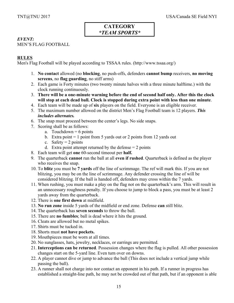# *EVENT:*

MEN'S FLAG FOOTBALL

# **RULES**

Men's Flag Football will be played according to TSSAA rules. (http://www.tssaa.org/)

- 1. **No contact** allowed (no **blocking**, no push-offs, defenders **cannot bump** receivers, **no moving screens**, no **flag guarding**, no stiff arms)
- 2. Each game is Forty minutes (two twenty minute halves with a three minute halftime.) with the clock running continuously.
- 3. **There will be a one-minute warning before the end of second half only. After this the clock will stop at each dead ball. Clock is stopped during extra point with less than one minute**.
- 4. Each team will be made up of **six** players on the field. Everyone is an eligible receiver.
- 5. The maximum number allowed on the district Men's Flag Football team is 12 players. *This includes alternates.*
- 6. The snap must proceed between the center's legs. No side snaps.
- 7. Scoring shall be as follows:
	- a. Touchdown  $= 6$  points
	- b. Extra point  $= 1$  point from 5 yards out or 2 points from 12 yards out
	- c. Safety  $= 2$  points
	- d. Extra point attempt returned by the defense  $= 2$  points
- 8. Each team will get **one** 60-second timeout per **half.**
- 9. The quarterback **cannot** run the ball at all **even if rushed**. Quarterback is defined as the player who receives the snap.
- 10. To **blitz** you must be **7 yards** off the line of scrimmage. The ref will mark this. If you are not blitzing, you may be on the line of scrimmage. Any defender crossing the line of will be considered blitzing. If the ball is handed off, defenders may cross within the 7 yards.
- 11. When rushing, you must make a play on the flag not on the quarterback's arm. This will result in an unnecessary roughness penalty. If you choose to jump to block a pass, you must be at least 2 yards away from the quarterback.
- 12. There is **one first down** at midfield.
- 13. **No run zone** inside 5 yards of the midfield or end zone. Defense **can** still blitz.
- 14. The quarterback has **seven seconds** to throw the ball.
- 15. There are **no fumbles**; ball is dead where it hits the ground.
- 16. Cleats are allowed but no metal spikes.
- 17. Shirts must be tucked in.
- 18. Shorts must **not have pockets.**
- 19. Mouthpieces must be worn at all times.
- 20. No sunglasses, hats, jewelry, necklaces, or earrings are permitted.
- 21. **Interceptions can be returned**. Possession changes where the flag is pulled. All other possession changes start on the 5-yard line. Even turn over on downs.
- 22. A player cannot dive or jump to advance the ball (This does not include a vertical jump while passing the ball).
- 23. A runner shall not charge into nor contact an opponent in his path. If a runner in progress has established a straight-line path, he may not be crowded out of that path, but if an opponent is able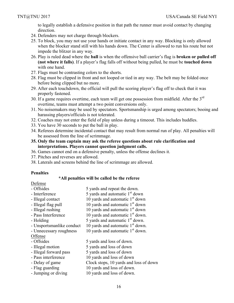to legally establish a defensive position in that path the runner must avoid contact by changing direction.

- 24. Defenders may not charge through blockers.
- 25. To block, you may not use your hands or initiate contact in any way. Blocking is only allowed when the blocker stand still with his hands down. The Center is allowed to run his route but not impede the blitzer in any way.
- 26. Play is ruled dead where the **ball** is when the offensive ball carrier's flag is **broken or pulled off (not where it falls)**. If a player's flag falls off without being pulled, he must be **touched down** with one hand.
- 27. Flags must be contrasting colors to the shorts.
- 28. Flag must be clipped in front and not looped or tied in any way. The belt may be folded once before being clipped but no more.
- 29. After each touchdown, the official will pull the scoring player's flag off to check that it was properly fastened.
- 30. If a game requires overtime, each team will get one possession from midfield. After the  $3<sup>rd</sup>$ overtime, teams must attempt a two point conversions only.
- 31. No noisemakers may be used by spectators. Sportsmanship is urged among spectators; booing and harassing players/officials is not tolerated.
- 32. Coaches may not enter the field of play unless during a timeout. This includes huddles.
- 33. You have 30 seconds to put the ball in play.
- 34. Referees determine incidental contact that may result from normal run of play. All penalties will be assessed from the line of scrimmage.
- **35. Only the team captain may ask the referee questions about rule clarification and interpretations. Players cannot question judgment calls.**
- 36. Games cannot end on a defensive penalty, unless the offense declines it.
- 37. Pitches and reverses are allowed.
- 38. Laterals and screens behind the line of scrimmage are allowed.

#### **Penalties**

#### **\*All penalties will be called be the referee**

Defense

| - Offsides                | 5 yards and repeat the down.               |
|---------------------------|--------------------------------------------|
| - Interference            | 5 yards and automatic 1 <sup>st</sup> down |
| - Illegal contact         | 10 yards and automatic $1st$ down          |
| - Illegal flag pull       | 10 yards and automatic $1st$ down          |
| - Illegal rushing         | 10 yards and automatic $1st$ down          |
| - Pass Interference       | 10 yards and automatic $1st$ down.         |
| - Holding                 | 5 yards and automatic $1st$ down.          |
| - Unsportsmanlike conduct | 10 yards and automatic $1st$ down.         |
| - Unnecessary roughness   | 10 yards and automatic $1st$ down.         |
| Offense                   |                                            |
| - Offsides                | 5 yards and loss of down.                  |
| - Illegal motion          | 5 yards and loss of down                   |
| - Illegal forward pass    | 5 yards and loss of down                   |
| - Pass interference       | 10 yards and loss of down                  |

- Delay of game Clock stops, 10 yards and loss of down
- Flag guarding 10 yards and loss of down.
- Jumping or diving 10 yards and loss of down.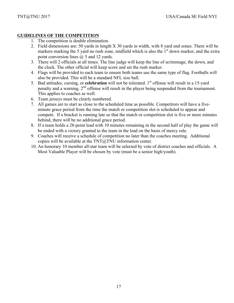- 1. The competition is double elimination.
- 2. Field dimensions are: 50 yards in length X 30 yards in width, with 8 yard end zones. There will be markers marking the 5 yard no rush zone, midfield which is also the  $1<sup>st</sup>$  down marker, and the extra point conversion lines @ 5 and 12 yards.
- 3. There will 2 officials at all times. The line judge will keep the line of scrimmage, the down, and the clock. The other official will keep score and set the rush marker.
- 4. Flags will be provided to each team to ensure both teams use the same type of flag. Footballs will also be provided. This will be a standard NFL size ball.
- 5. Bad attitudes, cursing, or **celebration** will not be tolerated. 1<sup>st</sup> offense will result in a 15-yard penalty and a warning.  $2<sup>nd</sup>$  offense will result in the player being suspended from the tournament. This applies to coaches as well.
- 6. Team jerseys must be clearly numbered.
- 7. All games are to start as close to the scheduled time as possible. Competitors will have a fiveminute grace period from the time the match or competition slot is scheduled to appear and compete. If a bracket is running late so that the match or competition slot is five or more minutes behind, there will be no additional grace period.
- 8. If a team holds a 28-point lead with 10 minutes remaining in the second half of play the game will be ended with a victory granted to the team in the lead on the basis of mercy rule.
- 9. Coaches will receive a schedule of competition no later than the coaches meeting. Additional copies will be available at the TNT@TNU information center.
- 10. An honorary 10 member all-star team will be selected by vote of district coaches and officials. A Most Valuable Player will be chosen by vote (must be a senior high/youth).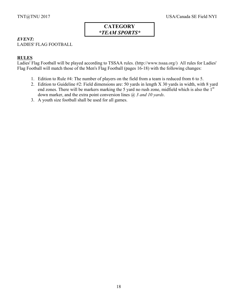# *EVENT:*

LADIES' FLAG FOOTBALL

# **RULES**

Ladies' Flag Football will be played according to TSSAA rules. (http://www.tssaa.org/) All rules for Ladies' Flag Football will match those of the Men's Flag Football (pages 16-18) with the following changes:

- 1. Edition to Rule #4: The number of players on the field from a team is reduced from 6 to 5.
- 2. Edition to Guideline #2: Field dimensions are: 50 yards in length X 30 yards in width, with 8 yard end zones. There will be markers marking the 5 yard no rush zone, midfield which is also the 1<sup>st</sup> down marker, and the extra point conversion lines @ *3 and 10 yards*.
- 3. A youth size football shall be used for all games.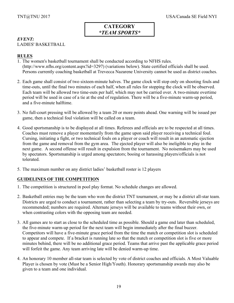## *EVENT:* LADIES' BASKETBALL

# **RULES**

- 1. The women's basketball tournament shall be conducted according to NFHS rules. (http://www.nfhs.org/content.aspx?id=3297) (variations below). State certified officials shall be used. Persons currently coaching basketball at Trevecca Nazarene University cannot be used as district coaches.
- 2. Each game shall consist of two sixteen-minute halves. The game clock will stop only on shooting fouls and time-outs, until the final two minutes of each half, when all rules for stopping the clock will be observed. Each team will be allowed two time-outs per half, which may not be carried over. A two-minute overtime period will be used in case of a tie at the end of regulation. There will be a five-minute warm-up period, and a five-minute halftime.
- 3. No full-court pressing will be allowed by a team 20 or more points ahead. One warning will be issued per game, then a technical foul violation will be called on a team.
- 4. Good sportsmanship is to be displayed at all times. Referees and officials are to be respected at all times. Coaches must remove a player momentarily from the game upon said player receiving a technical foul. Cursing, initiating a fight, or two technical fouls on a player or coach will result in an automatic ejection from the game and removal from the gym area. The ejected player will also be ineligible to play in the next game. A second offense will result in expulsion from the tournament. No noisemakers may be used by spectators. Sportsmanship is urged among spectators; booing or harassing players/officials is not tolerated.
- 5. The maximum number on any district ladies' basketball roster is 12 players

- 1. The competition is structured in pool play format. No schedule changes are allowed.
- 2. Basketball entries may be the team who won the district TNT tournament, or may be a district all-star team. Districts are urged to conduct a tournament, rather than selecting a team by try-outs. Reversible jerseys are recommended; numbers are required. Alternate jerseys will be available to teams without their own, or when contrasting colors with the opposing team are needed.
- 3. All games are to start as close to the scheduled time as possible. Should a game end later than scheduled, the five-minute warm-up period for the next team will begin immediately after the final buzzer. Competitors will have a five-minute grace period from the time the match or competition slot is scheduled to appear and compete. If a bracket is running late so that the match or competition slot is five or more minutes behind, there will be no additional grace period. Teams that arrive past the applicable grace period will forfeit the game. Any team arriving late will be denied warm-up time.
- 4. An honorary 10 member all-star team is selected by vote of district coaches and officials. A Most Valuable Player is chosen by vote (Must be a Senior High/Youth). Honorary sportsmanship awards may also be given to a team and one individual.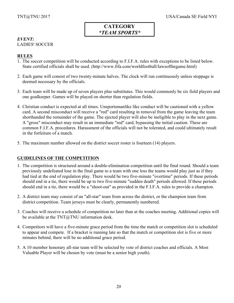# *EVENT:*

# LADIES' SOCCER

# **RULES**

- 1. The soccer competition will be conducted according to F.I.F.A. rules with exceptions to be listed below. State certified officials shall be used. (http://www.fifa.com/worldfootball/lawsofthegame.html)
- 2. Each game will consist of two twenty-minute halves. The clock will run continuously unless stoppage is deemed necessary by the officials.
- 3. Each team will be made up of seven players plus substitutes. This would commonly be six field players and one goalkeeper. Games will be played on shorter than regulation fields.
- 4. Christian conduct is expected at all times. Unsportsmanlike like conduct will be cautioned with a yellow card. A second misconduct will receive a "red" card resulting in removal from the game leaving the team shorthanded the remainder of the game. The ejected player will also be ineligible to play in the next game. A "gross" misconduct may result in an immediate "red" card, bypassing the initial caution. These are common F.I.F.A. procedures. Harassment of the officials will not be tolerated, and could ultimately result in the forfeiture of a match.
- 5. The maximum number allowed on the district soccer roster is fourteen (14) players.

- 1. The competition is structured around a double-elimination competition until the final round. Should a team previously undefeated lose in the final game to a team with one loss the teams would play just as if they had tied at the end of regulation play. There would be two five-minute "overtime" periods. If these periods should end in a tie, there would be up to two five-minute "sudden death" periods allowed. If these periods should end in a tie, there would be a "shoot-out" as provided in the F.I.F.A. rules to provide a champion.
- 2. A district team may consist of an "all-star" team from across the district, or the champion team from district competition. Team jerseys must be clearly, permanently numbered.
- 3. Coaches will receive a schedule of competition no later than at the coaches meeting. Additional copies will be available at the TNT@TNU information desk.
- 4. Competitors will have a five-minute grace period from the time the match or competition slot is scheduled to appear and compete. If a bracket is running late so that the match or competition slot is five or more minutes behind, there will be no additional grace period.
- 5. A 10 member honorary all-star team will be selected by vote of district coaches and officials. A Most Valuable Player will be chosen by vote (must be a senior high youth).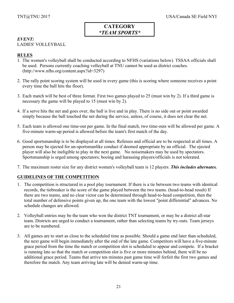# *EVENT:*

# LADIES' VOLLEYBALL

# **RULES**

- 1. The women's volleyball shall be conducted according to NFHS (variations below). TSSAA officials shall be used. Persons currently coaching volleyball at TNU cannot be used as district coaches. (http://www.nfhs.org/content.aspx?id=3297)
- 2. The rally point scoring system will be used in every game (this is scoring where someone receives a point every time the ball hits the floor).
- 3. Each match will be best of three format. First two games played to 25 (must win by 2). If a third game is necessary the game will be played to 15 (must win by 2).
- 4. If a serve hits the net and goes over, the ball is live and in play. There is no side out or point awarded simply because the ball touched the net during the service, unless, of course, it does not clear the net.
- 5. Each team is allowed one time-out per game. In the final match, two time-outs will be allowed per game. A five-minute warm-up period is allowed before the team's first match of the day.
- 6. Good sportsmanship is to be displayed at all times. Referees and official are to be respected at all times. A person may be ejected for un-sportsmanlike conduct if deemed appropriate by an official. The ejected player will also be ineligible to play in the next game. No noisemakers may be used by spectators. Sportsmanship is urged among spectators; booing and harassing players/officials is not tolerated.
- 7. The maximum roster size for any district women's volleyball team is 12 players. *This includes alternates.*

- 1. The competition is structured in a pool play tournament. If there is a tie between two teams with identical records, the tiebreaker is the score of the game played between the two teams. (head-to-head result) If there are two teams, and no clear victor can be determined through head-to-head competition, then the total number of defensive points given up, the one team with the lowest "point differential" advances. No schedule changes are allowed.
- 2. Volleyball entries may be the team who won the district TNT tournament, or may be a district all-star team. Districts are urged to conduct a tournament, rather than selecting teams by try-outs. Team jerseys are to be numbered.
- 3. All games are to start as close to the scheduled time as possible. Should a game end later than scheduled, the next game will begin immediately after the end of the late game. Competitors will have a five-minute grace period from the time the match or competition slot is scheduled to appear and compete. If a bracket is running late so that the match or competition slot is five or more minutes behind, there will be no additional grace period. Teams that arrive ten minutes past game time will forfeit the first two games and therefore the match. Any team arriving late will be denied warm-up time.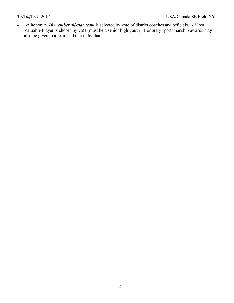4. An honorary *10 member all-star team* is selected by vote of district coaches and officials. A Most Valuable Player is chosen by vote (must be a senior high youth). Honorary sportsmanship awards may also be given to a team and one individual.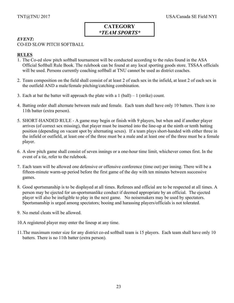# *EVENT:*

# CO-ED SLOW PITCH SOFTBALL

# **RULES**

- 1. The Co-ed slow pitch softball tournament will be conducted according to the rules found in the ASA Official Softball Rule Book. The rulebook can be found at any local sporting goods store. TSSAA officials will be used. Persons currently coaching softball at TNU cannot be used as district coaches.
- 2. Team composition on the field shall consist of at least 2 of each sex in the infield, at least 2 of each sex in the outfield AND a male/female pitching/catching combination.
- 3. Each at bat the batter will approach the plate with a  $1$  (ball)  $-1$  (strike) count.
- 4. Batting order shall alternate between male and female. Each team shall have only 10 batters. There is no 11th batter (extra person).
- 5. SHORT-HANDED RULE A game may begin or finish with 9 players, but when and if another player arrives (of correct sex missing), that player must be inserted into the line-up at the ninth or tenth batting position (depending on vacant spot by alternating sexes). If a team plays short-handed with either three in the infield or outfield, at least one of the three must be a male and at least one of the three must be a female player.
- 6. A slow pitch game shall consist of seven innings or a one-hour time limit, whichever comes first. In the event of a tie, refer to the rulebook.
- 7. Each team will be allowed one defensive or offensive conference (time out) per inning. There will be a fifteen-minute warm-up period before the first game of the day with ten minutes between successive games.
- 8. Good sportsmanship is to be displayed at all times. Referees and official are to be respected at all times. A person may be ejected for un-sportsmanlike conduct if deemed appropriate by an official. The ejected player will also be ineligible to play in the next game. No noisemakers may be used by spectators. Sportsmanship is urged among spectators; booing and harassing players/officials is not tolerated.
- 9. No metal cleats will be allowed.
- 10.A registered player may enter the lineup at any time.
- 11.The maximum roster size for any district co-ed softball team is 15 players. Each team shall have only 10 batters. There is no 11th batter (extra person).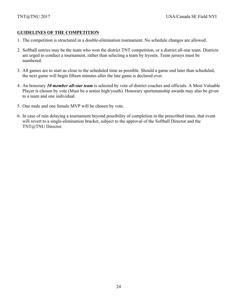- 1. The competition is structured in a double-elimination tournament. No schedule changes are allowed.
- 2. Softball entries may be the team who won the district TNT competition, or a district all-star team. Districts are urged to conduct a tournament, rather than selecting a team by tryouts. Team jerseys must be numbered.
- 3. All games are to start as close to the scheduled time as possible. Should a game end later than scheduled, the next game will begin fifteen minutes after the late game is declared over.
- 4. An honorary *10 member all-star team* is selected by vote of district coaches and officials. A Most Valuable Player is chosen by vote (Must be a senior high/youth). Honorary sportsmanship awards may also be given to a team and one individual.
- 5. One male and one female MVP will be chosen by vote.
- 6. In case of rain delaying a tournament beyond possibility of completion in the prescribed times, that event will revert to a single-elimination bracket, subject to the approval of the Softball Director and the TNT@TNU Director.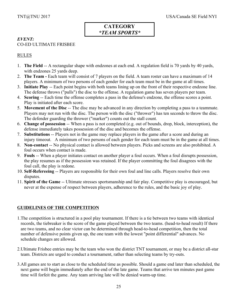## *EVENT:* CO-ED ULTIMATE FRISBEE

# RULES

- 1. **The Field** -- A rectangular shape with endzones at each end. A regulation field is 70 yards by 40 yards, with endzones 25 yards deep.
- 2. **The Team -** Each team will consist of 7 players on the field. A team roster can have a maximum of 14 players. A minimum of two persons of each gender for each team must be in the game at all times.
- 3. **Initiate Play** -- Each point begins with both teams lining up on the front of their respective endzone line. The defense throws ("pulls") the disc to the offense. A regulation game has seven players per team.
- 4. **Scoring** -- Each time the offense completes a pass in the defense's endzone, the offense scores a point. Play is initiated after each score.
- 5. **Movement of the Disc** -- The disc may be advanced in any direction by completing a pass to a teammate. Players may not run with the disc. The person with the disc ("thrower") has ten seconds to throw the disc. The defender guarding the thrower ("marker") counts out the stall count.
- 6. **Change of possession** -- When a pass is not completed (e.g. out of bounds, drop, block, interception), the defense immediately takes possession of the disc and becomes the offense.
- 7. **Substitutions** -- Players not in the game may replace players in the game after a score and during an injury timeout. A minimum of two persons of each gender for each team must be in the game at all times.
- 8. **Non-contact** -- No physical contact is allowed between players. Picks and screens are also prohibited. A foul occurs when contact is made.
- 9. **Fouls** -- When a player initiates contact on another player a foul occurs. When a foul disrupts possession, the play resumes as if the possession was retained. If the player committing the foul disagrees with the foul call, the play is redone.
- 10. **Self-Refereeing** -- Players are responsible for their own foul and line calls. Players resolve their own disputes.
- 11. **Spirit of the Game** -- Ultimate stresses sportsmanship and fair play. Competitive play is encouraged, but never at the expense of respect between players, adherence to the rules, and the basic joy of play.

- 1.The competition is structured in a pool play tournament. If there is a tie between two teams with identical records, the tiebreaker is the score of the game played between the two teams. (head-to-head result) If there are two teams, and no clear victor can be determined through head-to-head competition, then the total number of defensive points given up, the one team with the lowest "point differential" advances. No schedule changes are allowed.
- 2.Ultimate Frisbee entries may be the team who won the district TNT tournament, or may be a district all-star team. Districts are urged to conduct a tournament, rather than selecting teams by try-outs.
- 3.All games are to start as close to the scheduled time as possible. Should a game end later than scheduled, the next game will begin immediately after the end of the late game. Teams that arrive ten minutes past game time will forfeit the game. Any team arriving late will be denied warm-up time.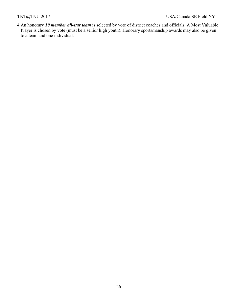4.An honorary *10 member all-star team* is selected by vote of district coaches and officials. A Most Valuable Player is chosen by vote (must be a senior high youth). Honorary sportsmanship awards may also be given to a team and one individual.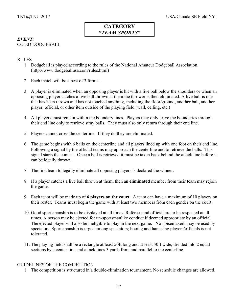# *EVENT:* CO-ED DODGEBALL

#### RULES

- 1. Dodgeball is played according to the rules of the National Amateur Dodgeball Association. (http://www.dodgeballusa.com/rules.html)
- 2. Each match will be a best of 3 format.
- 3. A player is eliminated when an opposing player is hit with a live ball below the shoulders or when an opposing player catches a live ball thrown at them the thrower is then eliminated. A live ball is one that has been thrown and has not touched anything, including the floor/ground, another ball, another player, official, or other item outside of the playing field (wall, ceiling, etc.)
- 4. All players must remain within the boundary lines. Players may only leave the boundaries through their end line only to retrieve stray balls. They must also only return through their end line.
- 5. Players cannot cross the centerline. If they do they are eliminated.
- 6. The game begins with 6 balls on the centerline and all players lined up with one foot on their end line. Following a signal by the official teams may approach the centerline and to retrieve the balls. This signal starts the contest. Once a ball is retrieved it must be taken back behind the attack line before it can be legally thrown.
- 7. The first team to legally eliminate all opposing players is declared the winner.
- 8. If a player catches a live ball thrown at them, then an **eliminated** member from their team may rejoin the game.
- 9. Each team will be made up of **6 players on the court**. A team can have a maximum of 10 players on their roster. Teams must begin the game with at least two members from each gender on the court.
- 10. Good sportsmanship is to be displayed at all times. Referees and official are to be respected at all times. A person may be ejected for un-sportsmanlike conduct if deemed appropriate by an official. The ejected player will also be ineligible to play in the next game. No noisemakers may be used by spectators. Sportsmanship is urged among spectators; booing and harassing players/officials is not tolerated.
- 11. The playing field shall be a rectangle at least 50ft long and at least 30ft wide, divided into 2 equal sections by a center-line and attack lines 3 yards from and parallel to the centerline.

#### GUIDELINES OF THE COMPETITION

1. The competition is structured in a double-elimination tournament. No schedule changes are allowed.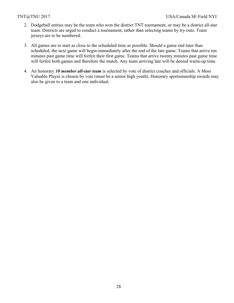- 2. Dodgeball entries may be the team who won the district TNT tournament, or may be a district all-star team. Districts are urged to conduct a tournament, rather than selecting teams by try-outs. Team jerseys are to be numbered.
- 3. All games are to start as close to the scheduled time as possible. Should a game end later than scheduled, the next game will begin immediately after the end of the late game. Teams that arrive ten minutes past game time will forfeit their first game. Teams that arrive twenty minutes past game time will forfeit both games and therefore the match. Any team arriving late will be denied warm-up time.
- 4. An honorary *10 member all-star team* is selected by vote of district coaches and officials. A Most Valuable Player is chosen by vote (must be a senior high youth). Honorary sportsmanship awards may also be given to a team and one individual.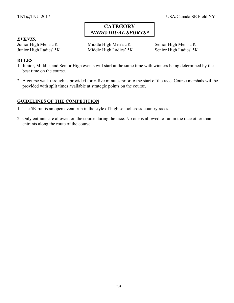#### *EVENTS:*

Junior High Men's 5K Middle High Men's 5K Senior High Men's 5K Junior High Ladies' 5K Middle High Ladies' 5K Senior High Ladies' 5K

# **RULES**

- 1. Junior, Middle, and Senior High events will start at the same time with winners being determined by the best time on the course.
- 2. A course walk through is provided forty-five minutes prior to the start of the race. Course marshals will be provided with split times available at strategic points on the course.

- 1. The 5K run is an open event, run in the style of high school cross-country races.
- 2. Only entrants are allowed on the course during the race. No one is allowed to run in the race other than entrants along the route of the course.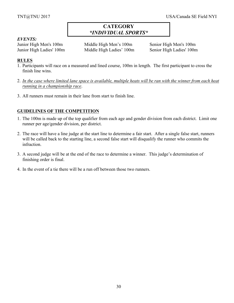# *EVENTS:*

Junior High Men's 100m Middle High Men's 100m Senior High Men's 100m Junior High Ladies' 100m Middle High Ladies' 100m Senior High Ladies' 100m

# **RULES**

- 1. Participants will race on a measured and lined course, 100m in length. The first participant to cross the finish line wins.
- 2. *In the case where limited lane space is available, multiple heats will be ran with the winner from each heat running in a championship race*.
- 3. All runners must remain in their lane from start to finish line.

- 1. The 100m is made up of the top qualifier from each age and gender division from each district. Limit one runner per age/gender division, per district.
- 2. The race will have a line judge at the start line to determine a fair start. After a single false start, runners will be called back to the starting line, a second false start will disqualify the runner who commits the infraction.
- 3. A second judge will be at the end of the race to determine a winner. This judge's determination of finishing order is final.
- 4. In the event of a tie there will be a run off between those two runners.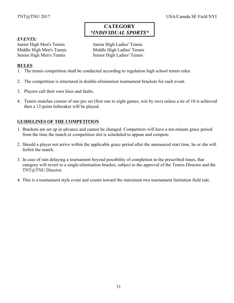#### *EVENTS:*

Junior High Men's Tennis Junior High Ladies' Tennis Middle High Men's Tennis Middle High Ladies' Tennis Senior High Men's Tennis Senior High Ladies' Tennis

#### **RULES**

- 1. The tennis competition shall be conducted according to regulation high school tennis rules.
- 2. The competition is structured in double-elimination tournament brackets for each event.
- 3. Players call their own lines and faults.
- 4. Tennis matches consist of one pro set (first one to eight games, win by two) unless a tie of 10 is achieved then a 12-point tiebreaker will be played.

- 1. Brackets are set up in advance and cannot be changed. Competitors will have a ten-minute grace period from the time the match or competition slot is scheduled to appear and compete.
- 2. Should a player not arrive within the applicable grace period after the announced start time, he or she will forfeit the match.
- 3. In case of rain delaying a tournament beyond possibility of completion in the prescribed times, that category will revert to a single-elimination bracket, subject to the approval of the Tennis Director and the TNT@TNU Director.
- 4. This is a tournament style event and counts toward the maximum two tournament limitation field rule.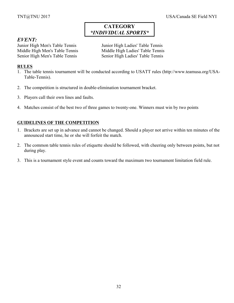# *EVENT:*

Junior High Men's Table Tennis Junior High Ladies' Table Tennis Middle High Men's Table Tennis Middle High Ladies' Table Tennis Senior High Men's Table Tennis Senior High Ladies' Table Tennis

# **RULES**

- 1. The table tennis tournament will be conducted according to USATT rules (http://www.teamusa.org/USA-Table-Tennis).
- 2. The competition is structured in double-elimination tournament bracket.
- 3. Players call their own lines and faults.
- 4. Matches consist of the best two of three games to twenty-one. Winners must win by two points

- 1. Brackets are set up in advance and cannot be changed. Should a player not arrive within ten minutes of the announced start time, he or she will forfeit the match.
- 2. The common table tennis rules of etiquette should be followed, with cheering only between points, but not during play.
- 3. This is a tournament style event and counts toward the maximum two tournament limitation field rule.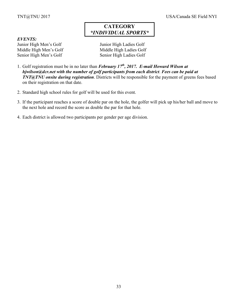# *EVENTS:*

Junior High Men's Golf Junior High Ladies Golf Middle High Men's Golf Middle High Ladies Golf Senior High Men's Golf Senior High Ladies Golf

- 1. Golf registration must be in no later than *February 17th, 2017. E-mail Howard Wilson at hjwilson@dcr.net with the number of golf participants from each district*. *Fees can be paid at TNT@TNU onsite during registration*. Districts will be responsible for the payment of greens fees based on their registration on that date.
- 2. Standard high school rules for golf will be used for this event.
- 3. If the participant reaches a score of double par on the hole, the golfer will pick up his/her ball and move to the next hole and record the score as double the par for that hole.
- 4. Each district is allowed two participants per gender per age division.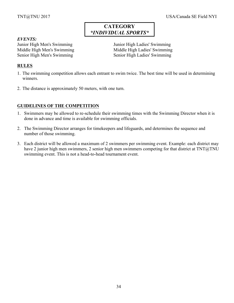#### *EVENTS:*

Junior High Men's Swimming Junior High Ladies' Swimming Senior High Men's Swimming<br>
Senior High Ladies' Swimming

Middle High Men's Swimming Middle High Ladies' Swimming

# **RULES**

- 1. The swimming competition allows each entrant to swim twice. The best time will be used in determining winners.
- 2. The distance is approximately 50 meters, with one turn.

- 1. Swimmers may be allowed to re-schedule their swimming times with the Swimming Director when it is done in advance and time is available for swimming officials.
- 2. The Swimming Director arranges for timekeepers and lifeguards, and determines the sequence and number of those swimming.
- 3. Each district will be allowed a maximum of 2 swimmers per swimming event. Example: each district may have 2 junior high men swimmers, 2 senior high men swimmers competing for that district at TNT@TNU swimming event. This is not a head-to-head tournament event.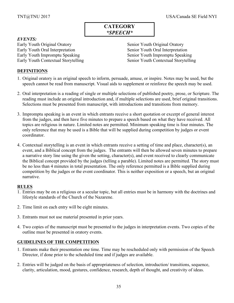# **CATEGORY** *\*SPEECH\**

## *EVENTS:*

Early Youth Original Oratory Senior Youth Original Oratory Early Youth Oral Interpretation Senior Youth Oral Interpretation Early Youth Impromptu Speaking Senior Youth Impromptu Speaking

Early Youth Contextual Storytelling Senior Youth Contextual Storytelling

## **DEFINITIONS**

- 1. Original oratory is an original speech to inform, persuade, amuse, or inspire. Notes may be used, but the speech cannot be read from manuscript. Visual aids to supplement or reinforce the speech may be used.
- 2. Oral interpretation is a reading of single or multiple selections of published poetry, prose, or Scripture. The reading must include an original introduction and, if multiple selections are used, brief original transitions. Selections must be presented from manuscript, with introductions and transitions from memory.
- 3. Impromptu speaking is an event in which entrants receive a short quotation or excerpt of general interest from the judges, and then have five minutes to prepare a speech based on what they have received. All topics are religious in nature. Limited notes are permitted. Minimum speaking time is four minutes. The only reference that may be used is a Bible that will be supplied during competition by judges or event coordinator.
- 4. Contextual storytelling is an event in which entrants receive a setting of time and place, character(s), an event, and a Biblical concept from the judges. The entrants will then be allowed seven minutes to prepare a narrative story line using the given the setting, character(s), and event received to clearly communicate the Biblical concept provided by the judges (telling a parable). Limited notes are permitted. The story must be no less than 4 minutes in total presentation. The only reference permitted is a Bible supplied during competition by the judges or the event coordinator. This is neither exposition or a speech, but an original narrative.

#### **RULES**

- 1. Entries may be on a religious or a secular topic, but all entries must be in harmony with the doctrines and lifestyle standards of the Church of the Nazarene.
- 2. Time limit on each entry will be eight minutes.
- 3. Entrants must not use material presented in prior years.
- 4. Two copies of the manuscript must be presented to the judges in interpretation events. Two copies of the outline must be presented in oratory events.

- 1. Entrants make their presentation one time. Time may be rescheduled only with permission of the Speech Director, if done prior to the scheduled time and if judges are available.
- 2. Entries will be judged on the basis of appropriateness of selection, introduction/ transitions, sequence, clarity, articulation, mood, gestures, confidence, research, depth of thought, and creativity of ideas.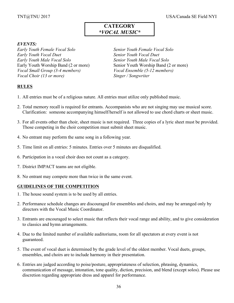# **CATEGORY** *\*VOCAL MUSIC\**

## *EVENTS:*

*Early Youth Female Vocal Solo Senior Youth Female Vocal Solo Early Youth Vocal Duet Senior Youth Vocal Duet Early Youth Male Vocal Solo Senior Youth Male Vocal Solo Vocal Small Group (3-4 members) Vocal Ensemble (5-12 members) Vocal Choir (13 or more) Singer / Songwriter*

Early Youth Worship Band (2 or more) Senior Youth Worship Band (2 or more)

# **RULES**

- 1. All entries must be of a religious nature. All entries must utilize only published music.
- 2. Total memory recall is required for entrants. Accompanists who are not singing may use musical score. Clarification: someone accompanying himself/herself is not allowed to use chord charts or sheet music.
- 3. For all events other than choir, sheet music is not required. Three copies of a lyric sheet must be provided. Those competing in the choir competition must submit sheet music.
- 4. No entrant may perform the same song in a following year.
- 5. Time limit on all entries: 5 minutes. Entries over 5 minutes are disqualified.
- 6. Participation in a vocal choir does not count as a category.
- 7. District IMPACT teams are not eligible.
- 8. No entrant may compete more than twice in the same event.

- 1. The house sound system is to be used by all entries.
- 2. Performance schedule changes are discouraged for ensembles and choirs, and may be arranged only by directors with the Vocal Music Coordinator.
- 3. Entrants are encouraged to select music that reflects their vocal range and ability, and to give consideration to classics and hymn arrangements.
- 4. Due to the limited number of available auditoriums, room for all spectators at every event is not guaranteed.
- 5. The event of vocal duet is determined by the grade level of the oldest member. Vocal duets, groups, ensembles, and choirs are to include harmony in their presentation.
- 6. Entries are judged according to poise/posture, appropriateness of selection, phrasing, dynamics, communication of message, intonation, tone quality, diction, precision, and blend (except solos). Please use discretion regarding appropriate dress and apparel for performance.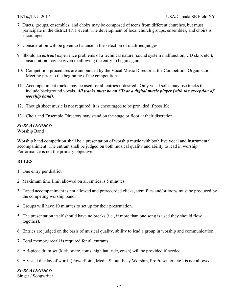- 7. Duets, groups, ensembles, and choirs may be composed of teens from different churches, but must participate in the district TNT event. The development of local church groups, ensembles, and choirs is encouraged.
- 8. Consideration will be given to balance in the selection of qualified judges.
- 9. Should an *entrant* experience problems of a technical nature (sound system malfunction, CD skip, etc.), consideration may be given to allowing the entry to begin again.
- 10. Competition procedures are announced by the Vocal Music Director at the Competition Organization Meeting prior to the beginning of the competition.
- 11. Accompaniment tracks may be used for all entries if desired. Only vocal solos may use tracks that include background vocals. *All tracks must be on CD or a digital music player (with the exception of worship band).*
- 12. Though sheet music is not required, it is encouraged to be provided if possible.
- 13. Choir and Ensemble Directors may stand on the stage or floor at their discretion.

# *SUBCATEGORY:*

Worship Band

Worship band competition shall be a presentation of worship music with both live vocal and instrumental accompaniment. The entrant shall be judged on both musical quality and ability to lead in worship. Performance is not the primary objective.

# **RULES**

- 1. One entry per district
- 2. Maximum time limit allowed on all entries is 5 minutes.
- 3. Taped accompaniment is not allowed and prerecorded clicks, stem files and/or loops must be produced by the competing worship band.
- 4. Groups will have 10 minutes to set up for their presentation.
- 5. The presentation itself should have no breaks (i.e., if more than one song is used they should flow together).
- 6. Entries are judged on the basis of musical quality, ability to lead a group in worship and communication.
- 7. Total memory recall is required for all entrants.
- 8. A 5-piece drum set (kick, snare, toms, high hat, ride, crash) will be provided if needed.
- 9. A visual display of words (PowerPoint, Media Shout, Easy Worship, ProPresenter, etc.) is not allowed.

# *SUBCATEGORY:*

Singer / Songwriter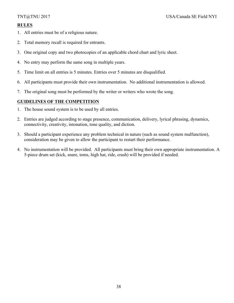# **RULES**

- 1. All entries must be of a religious nature.
- 2. Total memory recall is required for entrants.
- 3. One original copy and two photocopies of an applicable chord chart and lyric sheet.
- 4. No entry may perform the same song in multiple years.
- 5. Time limit on all entries is 5 minutes. Entries over 5 minutes are disqualified.
- 6. All participants must provide their own instrumentation. No additional instrumentation is allowed.
- 7. The original song must be performed by the writer or writers who wrote the song.

# **GUIDELINES OF THE COMPETITION**

- 1. The house sound system is to be used by all entries.
- 2. Entries are judged according to stage presence, communication, delivery, lyrical phrasing, dynamics, connectivity, creativity, intonation, tone quality, and diction.
- 3. Should a participant experience any problem technical in nature (such as sound system malfunction), consideration may be given to allow the participant to restart their performance.
- 4. No instrumentation will be provided. All participants must bring their own appropriate instrumentation. A 5-piece drum set (kick, snare, toms, high hat, ride, crash) will be provided if needed.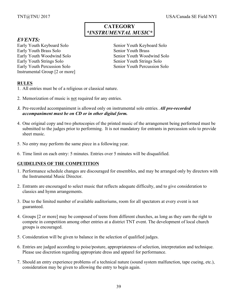# **CATEGORY** *\*INSTRUMENTAL MUSIC\**

# *EVENTS:*

Early Youth Keyboard Solo Senior Youth Keyboard Solo Early Youth Brass Solo Senior Youth Brass Early Youth Woodwind Solo Senior Youth Woodwind Solo Early Youth Strings Solo Senior Youth Strings Solo Early Youth Percussion Solo Senior Youth Percussion Solo Instrumental Group [2 or more]

# **RULES**

- 1. All entries must be of a religious or classical nature.
- 2. Memorization of music is not required for any entries.
- *3.* Pre-recorded accompaniment is allowed only on instrumental solo entries. *All pre-recorded accompaniment must be on CD or in other digital form.*
- 4. One original copy and two photocopies of the printed music of the arrangement being performed must be submitted to the judges prior to performing. It is not mandatory for entrants in percussion solo to provide sheet music.
- 5. No entry may perform the same piece in a following year.
- 6. Time limit on each entry: 5 minutes. Entries over 5 minutes will be disqualified.

# **GUIDELINES OF THE COMPETITION**

- 1. Performance schedule changes are discouraged for ensembles, and may be arranged only by directors with the Instrumental Music Director.
- 2. Entrants are encouraged to select music that reflects adequate difficulty, and to give consideration to classics and hymn arrangements.
- 3. Due to the limited number of available auditoriums, room for all spectators at every event is not guaranteed.
- 4. Groups [2 or more] may be composed of teens from different churches, as long as they earn the right to compete in competition among other entries at a district TNT event. The development of local church groups is encouraged.
- 5. Consideration will be given to balance in the selection of qualified judges.
- 6. Entries are judged according to poise/posture, appropriateness of selection, interpretation and technique. Please use discretion regarding appropriate dress and apparel for performance.
- 7. Should an entry experience problems of a technical nature (sound system malfunction, tape cueing, etc.), consideration may be given to allowing the entry to begin again.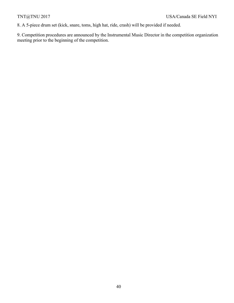8. A 5-piece drum set (kick, snare, toms, high hat, ride, crash) will be provided if needed.

9. Competition procedures are announced by the Instrumental Music Director in the competition organization meeting prior to the beginning of the competition.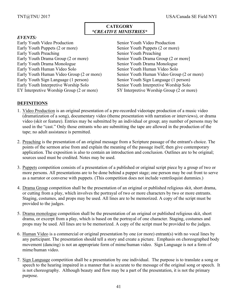# **CATEGORY** *\*CREATIVE MINISTRIES\**

# *EVENTS:*

Early Youth Video Production Senior Youth Video Production Early Youth Puppets (2 or more) Senior Youth Puppets (2 or more) Early Youth Preaching Senior Youth Preaching Early Youth Drama Group (2 or more) Senior Youth Drama Group (2 or more) Early Youth Drama Monologue Senior Youth Drama Monologue Early Youth Human Video Solo Senior Youth Human Video Solo Early Youth Sign Language (1 person) Senior Youth Sign Language (1 person) Early Youth Interpretive Worship Solo Senior Youth Interpretive Worship Solo EY Interpretive Worship Group (2 or more) SY Interpretive Worship Group (2 or more)

Early Youth Human Video Group (2 or more) Senior Youth Human Video Group (2 or more)

# **DEFINITIONS**

- 1. Video Production is an original presentation of a pre-recorded videotape production of a music video (dramatization of a song), documentary video (theme presentation with narration or interviews), or drama video (skit or feature). Entries may be submitted by an individual or group; any number of persons may be used in the "cast." Only those entrants who are submitting the tape are allowed in the production of the tape; no adult assistance is permitted.
- 2. Preaching is the presentation of an original message from a Scripture passage of the entrant's choice. The points of the sermon arise from and explain the meaning of the passage itself, then give contemporary application. The exposition is also to contain an introduction and conclusion. Outlines are to be original; sources used must be credited. Notes may be used.
- 3. Puppets competition consists of a presentation of a published or original script piece by a group of two or more persons. All presentations are to be done behind a puppet stage; one person may be out front to serve as a narrator or converse with puppets. (This competition does not include ventriloquist dummies.)
- 4. Drama Group competition shall be the presentation of an original or published religious skit, short drama, or cutting from a play, which involves the portrayal of two or more characters by two or more entrants. Staging, costumes, and props may be used. All lines are to be memorized. A copy of the script must be provided to the judges.
- 5. Drama monologue competition shall be the presentation of an original or published religious skit, short drama, or excerpt from a play, which is based on the portrayal of one character. Staging, costumes and props may be used. All lines are to be memorized. A copy of the script must be provided to the judges.
- 6. Human Video is a commercial or original presentation by one (or more) entrant(s) with no vocal lines by any participant. The presentation should tell a story and create a picture. Emphasis on choreographed body movement (dancing) is not an appropriate form of mime/human video. Sign Language is not a form of mime/human video.
- 7. Sign Language competition shall be a presentation by one individual. The purpose is to translate a song or speech to the hearing impaired in a manner that is accurate to the message of the original song or speech. It is not choreography. Although beauty and flow may be a part of the presentation, it is not the primary purpose.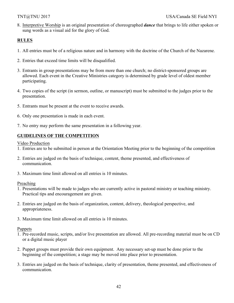8. Interpretive Worship is an original presentation of choreographed *dance* that brings to life either spoken or sung words as a visual aid for the glory of God.

# **RULES**

- 1. All entries must be of a religious nature and in harmony with the doctrine of the Church of the Nazarene.
- 2. Entries that exceed time limits will be disqualified.
- 3. Entrants in group presentations may be from more than one church; no district-sponsored groups are allowed. Each event in the Creative Ministries category is determined by grade level of oldest member participating.
- 4. Two copies of the script (in sermon, outline, or manuscript) must be submitted to the judges prior to the presentation.
- 5. Entrants must be present at the event to receive awards.
- 6. Only one presentation is made in each event.
- 7. No entry may perform the same presentation in a following year.

# **GUIDELINES OF THE COMPETITION**

Video Production

- 1. Entries are to be submitted in person at the Orientation Meeting prior to the beginning of the competition
- 2. Entries are judged on the basis of technique, content, theme presented, and effectiveness of communication.
- 3. Maximum time limit allowed on all entries is 10 minutes.

#### Preaching

- 1. Presentations will be made to judges who are currently active in pastoral ministry or teaching ministry. Practical tips and encouragement are given.
- 2. Entries are judged on the basis of organization, content, delivery, theological perspective, and appropriateness.
- 3. Maximum time limit allowed on all entries is 10 minutes.

#### Puppets

- 1. Pre-recorded music, scripts, and/or live presentation are allowed. All pre-recording material must be on CD or a digital music player
- 2. Puppet groups must provide their own equipment. Any necessary set-up must be done prior to the beginning of the competition; a stage may be moved into place prior to presentation.
- 3. Entries are judged on the basis of technique, clarity of presentation, theme presented, and effectiveness of communication.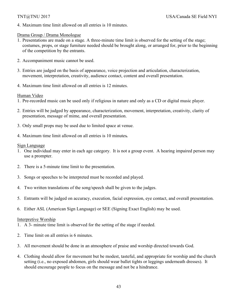4. Maximum time limit allowed on all entries is 10 minutes.

# Drama Group / Drama Monologue

- 1. Presentations are made on a stage. A three-minute time limit is observed for the setting of the stage; costumes, props, or stage furniture needed should be brought along, or arranged for, prior to the beginning of the competition by the entrants.
- 2. Accompaniment music cannot be used.
- 3. Entries are judged on the basis of appearance, voice projection and articulation, characterization, movement, interpretation, creativity, audience contact, content and overall presentation.
- 4. Maximum time limit allowed on all entries is 12 minutes.

# Human Video

- 1. Pre-recorded music can be used only if religious in nature and only as a CD or digital music player.
- 2. Entries will be judged by appearance, characterization, movement, interpretation, creativity, clarity of presentation, message of mime, and overall presentation.
- 3. Only small props may be used due to limited space at venue.
- 4. Maximum time limit allowed on all entries is 10 minutes*.*

# Sign Language

- 1. One individual may enter in each age category. It is not a group event. A hearing impaired person may use a prompter.
- 2. There is a 5-minute time limit to the presentation.
- 3. Songs or speeches to be interpreted must be recorded and played.
- 4. Two written translations of the song/speech shall be given to the judges.
- 5. Entrants will be judged on accuracy, execution, facial expression, eye contact, and overall presentation.
- 6. Either ASL (American Sign Language) or SEE (Signing Exact English) may be used.

# Interpretive Worship

- 1. A 3- minute time limit is observed for the setting of the stage if needed.
- 2. Time limit on all entries is 6 minutes.
- 3. All movement should be done in an atmosphere of praise and worship directed towards God.
- 4. Clothing should allow for movement but be modest, tasteful, and appropriate for worship and the church setting (i.e., no exposed abdomen, girls should wear ballet tights or leggings underneath dresses). It should encourage people to focus on the message and not be a hindrance.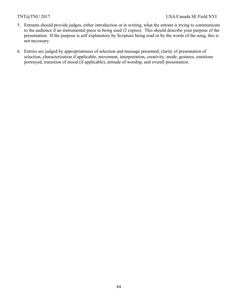- 5. Entrants should provide judges, either introduction or in writing, what the entrant is trying to communicate to the audience if an instrumental piece in being used (2 copies). This should describe your purpose of the presentation. If the purpose is self explanatory by Scripture being read or by the words of the song, this is not necessary.
- 6. Entries are judged by appropriateness of selection and message presented, clarity of presentation of selection, characterization if applicable, movement, interpretation, creativity, mode, gestures, emotions portrayed, transition of mood (if applicable), attitude of worship, and overall presentation.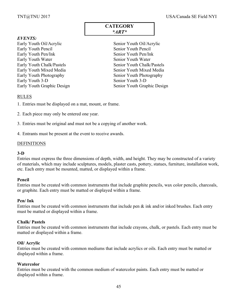# **CATEGORY** *\*ART\**

# *EVENTS:*

Early Youth Oil/Acrylic Senior Youth Oil/Acrylic Early Youth Pencil Senior Youth Pencil Early Youth Pen/Ink Senior Youth Pen/Ink Early Youth Water Senior Youth Water Early Youth Chalk/Pastels Senior Youth Chalk/Pastels Early Youth Mixed Media Senior Youth Mixed Media Early Youth Photography Senior Youth Photography Early Youth 3-D Senior Youth 3-D

Early Youth Graphic Design Senior Youth Graphic Design

#### RULES

- 1. Entries must be displayed on a mat, mount, or frame.
- 2. Each piece may only be entered one year.
- 3. Entries must be original and must not be a copying of another work.
- 4. Entrants must be present at the event to receive awards.

### DEFINITIONS

### **3-D**

Entries must express the three dimensions of depth, width, and height. They may be constructed of a variety of materials, which may include sculptures, models, plaster casts, pottery, statues, furniture, installation work, etc. Each entry must be mounted, matted, or displayed within a frame.

#### **Pencil**

Entries must be created with common instruments that include graphite pencils, wax color pencils, charcoals, or graphite. Each entry must be matted or displayed within a frame.

#### **Pen/ Ink**

Entries must be created with common instruments that include pen  $\&$  ink and/or inked brushes. Each entry must be matted or displayed within a frame.

### **Chalk/ Pastels**

Entries must be created with common instruments that include crayons, chalk, or pastels. Each entry must be matted or displayed within a frame.

#### **Oil/ Acrylic**

Entries must be created with common mediums that include acrylics or oils. Each entry must be matted or displayed within a frame.

#### **Watercolor**

Entries must be created with the common medium of watercolor paints. Each entry must be matted or displayed within a frame.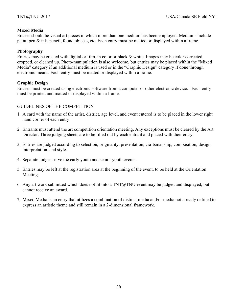# **Mixed Media**

Entries should be visual art pieces in which more than one medium has been employed. Mediums include paint, pen & ink, pencil, found objects, etc. Each entry must be matted or displayed within a frame.

# **Photography**

Entries may be created with digital or film, in color or black & white. Images may be color corrected, cropped, or cleaned up. Photo-manipulation is also welcome, but entries may be placed within the "Mixed Media" category if an additional medium is used or in the "Graphic Design" category if done through electronic means. Each entry must be matted or displayed within a frame.

# **Graphic Design**

Entries must be created using electronic software from a computer or other electronic device. Each entry must be printed and matted or displayed within a frame.

# GUIDELINES OF THE COMPETITION

- 1. A card with the name of the artist, district, age level, and event entered is to be placed in the lower right hand corner of each entry.
- 2. Entrants must attend the art competition orientation meeting. Any exceptions must be cleared by the Art Director. Three judging sheets are to be filled out by each entrant and placed with their entry.
- 3. Entries are judged according to selection, originality, presentation, craftsmanship, composition, design, interpretation, and style.
- 4. Separate judges serve the early youth and senior youth events.
- 5. Entries may be left at the registration area at the beginning of the event, to be held at the Orientation Meeting.
- 6. Any art work submitted which does not fit into a TNT@TNU event may be judged and displayed, but cannot receive an award.
- 7. Mixed Media is an entry that utilizes a combination of distinct media and/or media not already defined to express an artistic theme and still remain in a 2-dimensional framework.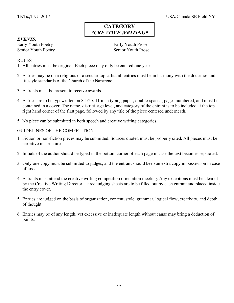# **CATEGORY** *\*CREATIVE WRITING\**

# *EVENTS:*

Early Youth Poetry **Early Youth Prose** Senior Youth Poetry Senior Youth Prose

# RULES

- 1. All entries must be original. Each piece may only be entered one year.
- 2. Entries may be on a religious or a secular topic, but all entries must be in harmony with the doctrines and lifestyle standards of the Church of the Nazarene.
- 3. Entrants must be present to receive awards.
- 4. Entries are to be typewritten on 8 1/2 x 11 inch typing paper, double-spaced, pages numbered, and must be contained in a cover. The name, district, age level, and category of the entrant is to be included at the top right hand corner of the first page, followed by any title of the piece centered underneath.
- 5. No piece can be submitted in both speech and creative writing categories.

# GUIDELINES OF THE COMPETITION

- 1. Fiction or non-fiction pieces may be submitted. Sources quoted must be properly cited. All pieces must be narrative in structure.
- 2. Initials of the author should be typed in the bottom corner of each page in case the text becomes separated.
- 3. Only one copy must be submitted to judges, and the entrant should keep an extra copy in possession in case of loss.
- 4. Entrants must attend the creative writing competition orientation meeting. Any exceptions must be cleared by the Creative Writing Director. Three judging sheets are to be filled out by each entrant and placed inside the entry cover.
- 5. Entries are judged on the basis of organization, content, style, grammar, logical flow, creativity, and depth of thought.
- 6. Entries may be of any length, yet excessive or inadequate length without cause may bring a deduction of points.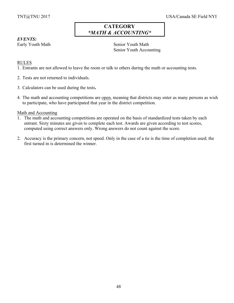# **CATEGORY** *\*MATH & ACCOUNTING\**

# *EVENTS:*

Early Youth Math Senior Youth Math Senior Youth Accounting

# RULES

- 1. Entrants are not allowed to leave the room or talk to others during the math or accounting tests.
- 2. Tests are not returned to individuals.
- 3. Calculators can be used during the tests**.**
- 4. The math and accounting competitions are open, meaning that districts may enter as many persons as wish to participate, who have participated that year in the district competition.

# Math and Accounting

- 1. The math and accounting competitions are operated on the basis of standardized tests taken by each entrant. Sixty minutes are given to complete each test. Awards are given according to test scores, computed using correct answers only. Wrong answers do not count against the score.
- 2. Accuracy is the primary concern, not speed. Only in the case of a tie is the time of completion used; the first turned in is determined the winner.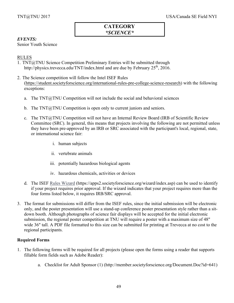# **CATEGORY** *\*SCIENCE\**

# *EVENTS:*

Senior Youth Science

# RULES

- 1. TNT@TNU Science Competition Preliminary Entries will be submitted through http://physics.trevecca.edu/TNT/index.html and are due by February  $25<sup>th</sup>$ , 2016.
- 2. The Science competition will follow the Intel ISEF Rules (https://student.societyforscience.org/international-rules-pre-college-science-research) with the following exceptions:
	- a. The TNT@TNU Competition will not include the social and behavioral sciences
	- b. The  $TNT@TNU$  Competition is open only to current juniors and seniors.
	- c. The TNT@TNU Competition will not have an Internal Review Board (IRB of Scientific Review Committee (SRC). In general, this means that projects involving the following are not permitted unless they have been pre-approved by an IRB or SRC associated with the participant's local, regional, state, or international science fair:
		- i. human subjects
		- ii. vertebrate animals
		- iii. potentially hazardous biological agents
		- iv. hazardous chemicals, activities or devices
	- d. The ISEF Rules Wizard (https://apps2.societyforscience.org/wizard/index.asp) can be used to identify if your project requires prior approval. If the wizard indicates that your project requires more than the four forms listed below, it requires IRB/SRC approval.
- 3. The format for submissions will differ from the ISEF rules, since the initial submission will be electronic only, and the poster presentation will use a stand-up conference poster presentation style rather than a sitdown booth. Although photographs of science fair displays will be accepted for the initial electronic submission, the regional poster competition at TNU will require a poster with a maximum size of 48" wide 36" tall. A PDF file formatted to this size can be submitted for printing at Trevecca at no cost to the regional participants.

# **Required Forms**

- 1. The following forms will be required for all projects (please open the forms using a reader that supports fillable form fields such as Adobe Reader):
	- a. Checklist for Adult Sponsor (1) (http://member.societyforscience.org/Document.Doc?id=641)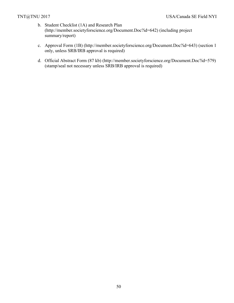- b. Student Checklist (1A) and Research Plan (http://member.societyforscience.org/Document.Doc?id=642) (including project summary/report)
- c. Approval Form (1B) (http://member.societyforscience.org/Document.Doc?id=643) (section 1 only, unless SRB/IRB approval is required)
- d. Official Abstract Form (87 kb) (http://member.societyforscience.org/Document.Doc?id=579) (stamp/seal not necessary unless SRB/IRB approval is required)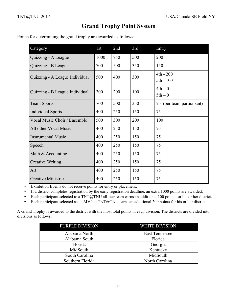# **Grand Trophy Point System**

Points for determining the grand trophy are awarded as follows:

| Category                       | 1st  | 2nd | 3rd | Entry                     |
|--------------------------------|------|-----|-----|---------------------------|
| Quizzing - A League            | 1000 | 750 | 500 | 200                       |
| Quizzing - B League            | 700  | 500 | 350 | 150                       |
| Quizzing - A League Individual | 500  | 400 | 300 | $4th - 200$<br>5th - 100  |
| Quizzing - B League Individual | 300  | 200 | 100 | $4th - 0$<br>$5th-0$      |
| <b>Team Sports</b>             | 700  | 500 | 350 | 75 (per team participant) |
| <b>Individual Sports</b>       | 400  | 250 | 150 | 75                        |
| Vocal Music Choir / Ensemble   | 500  | 300 | 200 | 100                       |
| All other Vocal Music          | 400  | 250 | 150 | 75                        |
| <b>Instrumental Music</b>      | 400  | 250 | 150 | 75                        |
| Speech                         | 400  | 250 | 150 | 75                        |
| Math & Accounting              | 400  | 250 | 150 | 75                        |
| <b>Creative Writing</b>        | 400  | 250 | 150 | 75                        |
| Art                            | 400  | 250 | 150 | 75                        |
| <b>Creative Ministries</b>     | 400  | 250 | 150 | 75                        |

• Exhibition Events do not receive points for entry or placement.

• If a district completes registration by the early registration deadline, an extra 1000 points are awarded.

• Each participant selected to a TNT@TNU all-star team earns an additional 100 points for his or her district.

• Each participant selected as an MVP at TNT@TNU earns an additional 200 points for his or her district.

A Grand Trophy is awarded to the district with the most total points in each division. The districts are divided into divisions as follows:

| PURPLE DIVISION  | <b>WHITE DIVISION</b> |
|------------------|-----------------------|
| Alabama North    | <b>East Tennessee</b> |
| Alabama South    | Florida               |
| Florida          | Georgia               |
| MidSouth         | Kentucky              |
| South Carolina   | MidSouth              |
| Southern Florida | North Carolina        |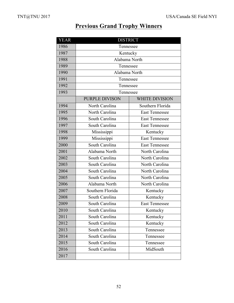# **Previous Grand Trophy Winners**

| <b>YEAR</b> | <b>DISTRICT</b>  |                       |  |  |  |  |  |  |  |  |  |  |
|-------------|------------------|-----------------------|--|--|--|--|--|--|--|--|--|--|
| 1986        |                  | Tennessee             |  |  |  |  |  |  |  |  |  |  |
| 1987        | Kentucky         |                       |  |  |  |  |  |  |  |  |  |  |
| 1988        | Alabama North    |                       |  |  |  |  |  |  |  |  |  |  |
| 1989        | Tennessee        |                       |  |  |  |  |  |  |  |  |  |  |
| 1990        |                  | Alabama North         |  |  |  |  |  |  |  |  |  |  |
| 1991        | Tennessee        |                       |  |  |  |  |  |  |  |  |  |  |
| 1992        | Tennessee        |                       |  |  |  |  |  |  |  |  |  |  |
| 1993        | Tennessee        |                       |  |  |  |  |  |  |  |  |  |  |
|             | PURPLE DIVISON   | <b>WHITE DIVISION</b> |  |  |  |  |  |  |  |  |  |  |
| 1994        | North Carolina   | Southern Florida      |  |  |  |  |  |  |  |  |  |  |
| 1995        | North Carolina   | <b>East Tennessee</b> |  |  |  |  |  |  |  |  |  |  |
| 1996        | South Carolina   | <b>East Tennessee</b> |  |  |  |  |  |  |  |  |  |  |
| 1997        | South Carolina   | <b>East Tennessee</b> |  |  |  |  |  |  |  |  |  |  |
| 1998        | Mississippi      | Kentucky              |  |  |  |  |  |  |  |  |  |  |
| 1999        | Mississippi      | <b>East Tennessee</b> |  |  |  |  |  |  |  |  |  |  |
| 2000        | South Carolina   | <b>East Tennessee</b> |  |  |  |  |  |  |  |  |  |  |
| 2001        | Alabama North    | North Carolina        |  |  |  |  |  |  |  |  |  |  |
| 2002        | South Carolina   | North Carolina        |  |  |  |  |  |  |  |  |  |  |
| 2003        | South Carolina   | North Carolina        |  |  |  |  |  |  |  |  |  |  |
| 2004        | South Carolina   | North Carolina        |  |  |  |  |  |  |  |  |  |  |
| 2005        | South Carolina   | North Carolina        |  |  |  |  |  |  |  |  |  |  |
| 2006        | Alabama North    | North Carolina        |  |  |  |  |  |  |  |  |  |  |
| 2007        | Southern Florida | Kentucky              |  |  |  |  |  |  |  |  |  |  |
| 2008        | South Carolina   | Kentucky              |  |  |  |  |  |  |  |  |  |  |
| 2009        | South Carolina   | <b>East Tennessee</b> |  |  |  |  |  |  |  |  |  |  |
| 2010        | South Carolina   | Kentucky              |  |  |  |  |  |  |  |  |  |  |
| 2011        | South Carolina   | Kentucky              |  |  |  |  |  |  |  |  |  |  |
| 2012        | South Carolina   | Kentucky              |  |  |  |  |  |  |  |  |  |  |
| 2013        | South Carolina   | Tennessee             |  |  |  |  |  |  |  |  |  |  |
| 2014        | South Carolina   | Tennessee             |  |  |  |  |  |  |  |  |  |  |
| 2015        | South Carolina   | Tennessee             |  |  |  |  |  |  |  |  |  |  |
| 2016        | South Carolina   | MidSouth              |  |  |  |  |  |  |  |  |  |  |
| 2017        |                  |                       |  |  |  |  |  |  |  |  |  |  |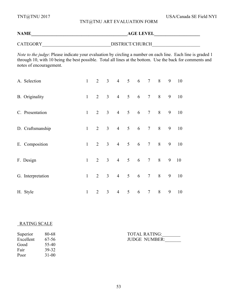TNT@TNU 2017 USA/Canada SE Field NYI

# TNT@TNU ART EVALUATION FORM

| <b>NAME</b>     | <b>AGE LEVEL</b> |  |
|-----------------|------------------|--|
| <b>CATEGORY</b> | DISTRICT/CHURCH  |  |

*Note to the judge*: Please indicate your evaluation by circling a number on each line. Each line is graded 1 through 10, with 10 being the best possible. Total all lines at the bottom. Use the back for comments and notes of encouragement.

|          | A. Selection      | 1            | $\overline{2}$ | $\overline{3}$ |                 |                                   | 4 5 6 7 8           |                 |   | 9 | 10 |
|----------|-------------------|--------------|----------------|----------------|-----------------|-----------------------------------|---------------------|-----------------|---|---|----|
|          | B. Originality    | $\mathbf{1}$ | $\overline{2}$ | 3 <sup>1</sup> | $\overline{4}$  | 5 <sup>5</sup>                    | $6\overline{6}$     | $7\overline{ }$ | 8 | 9 | 10 |
|          | C. Presentation   | $\mathbf{1}$ | 2              | $\overline{3}$ | $\overline{4}$  | $5\qquad 6$                       |                     | $7\phantom{.0}$ | 8 | 9 | 10 |
|          | D. Craftsmanship  | $\mathbf{1}$ | 2              | 3 <sup>1</sup> | $\overline{4}$  | $5\qquad 6$                       |                     | $7\phantom{.0}$ | 8 | 9 | 10 |
|          | E. Composition    | $\mathbf{1}$ | 2              | 3 <sup>7</sup> | $\overline{4}$  | 5 <sup>5</sup><br>$6\overline{6}$ |                     | $7\phantom{.0}$ | 8 | 9 | 10 |
|          | F. Design         | $\mathbf{1}$ | $\overline{2}$ | 3 <sup>1</sup> | $4\overline{ }$ | 5 <sup>5</sup>                    | 6<br>$\overline{7}$ |                 | 8 | 9 | 10 |
|          | G. Interpretation | $\mathbf{1}$ | $\overline{2}$ | 3 <sup>7</sup> | $\overline{4}$  | 5 <sup>5</sup>                    | 6                   | $\tau$          | 8 | 9 | 10 |
| H. Style |                   | $\mathbf{1}$ | $\overline{2}$ | $\mathfrak{Z}$ | $\overline{4}$  | 5 <sup>5</sup>                    | 6                   | $7\phantom{.0}$ | 8 | 9 | 10 |

# RATING SCALE

| Superior  | 80-68     |
|-----------|-----------|
| Excellent | 67-56     |
| Good      | 55-40     |
| Fair      | 39-32     |
| Poor      | $31 - 00$ |

Superior 80-68 TOTAL RATING: Excellent 67-56 JUDGE NUMBER: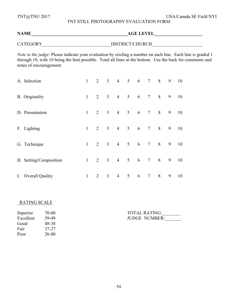TNT@TNU 2017 USA/Canada SE Field NYI

# TNT STILL PHOTOGRAPHY EVALUATION FORM

# **NAME\_\_\_\_\_\_\_\_\_\_\_\_\_\_\_\_\_\_\_\_\_\_\_\_\_\_\_\_\_\_\_\_\_\_\_\_\_\_\_\_\_\_AGE LEVEL\_\_\_\_\_\_\_\_\_\_\_\_\_\_\_\_\_\_\_\_\_** CATEGORY\_\_\_\_\_\_\_\_\_\_\_\_\_\_\_\_\_\_\_\_\_\_\_\_\_\_\_\_\_\_DISTRICT/CHURCH\_\_\_\_\_\_\_\_\_\_\_\_\_\_\_\_\_\_\_\_\_\_

*Note to the judge*: Please indicate your evaluation by circling a number on each line. Each line is graded 1 through 10, with 10 being the best possible. Total all lines at the bottom. Use the back for comments and notes of encouragement.

| A. Selection           | $\mathbf{1}$ |                | $2 \quad 3$             |                |                | 4 5 6 7         |                 | 8 | 9 | 10 |
|------------------------|--------------|----------------|-------------------------|----------------|----------------|-----------------|-----------------|---|---|----|
| <b>B.</b> Originality  | $\mathbf{1}$ |                | $2 \quad 3$             | $\overline{4}$ | 5 <sup>5</sup> | $6\overline{6}$ | $7\phantom{.0}$ | 8 | 9 | 10 |
| D. Presentation        | $\mathbf{1}$ | $\overline{2}$ | $\overline{\mathbf{3}}$ | $\overline{4}$ | 5 <sup>5</sup> | 6               | $\tau$          | 8 | 9 | 10 |
| F. Lighting            | $\mathbf{1}$ | $\overline{2}$ | 3 <sup>7</sup>          | $\overline{4}$ | 5 <sup>5</sup> | $6\overline{6}$ | $\overline{7}$  | 8 | 9 | 10 |
| G. Technique           | $\mathbf{1}$ | $\overline{2}$ | 3 <sup>7</sup>          | $\overline{4}$ | 5 <sup>5</sup> | 6               | $7\phantom{.0}$ | 8 | 9 | 10 |
| H. Setting/Composition | $\mathbf{1}$ | $\overline{2}$ | 3 <sup>7</sup>          | $\overline{4}$ | $5\qquad 6$    |                 | $\tau$          | 8 | 9 | 10 |
| I. Overall Quality     | $\mathbf{1}$ | 2              | $\overline{3}$          | $\overline{4}$ | 5 <sup>5</sup> | 6               | $\tau$          | 8 | 9 | 10 |

#### RATING SCALE

| Superior  | 70-60     |
|-----------|-----------|
| Excellent | 59-49     |
| Good      | 48-38     |
| Fair      | 37-27     |
| Poor      | $26 - 00$ |

Superior 70-60 TOTAL RATING:\_\_\_\_\_\_\_\_ JUDGE NUMBER: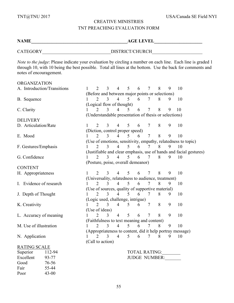### CREATIVE MINISTRIES TNT PREACHING EVALUATION FORM

**NAME\_\_\_\_\_\_\_\_\_\_\_\_\_\_\_\_\_\_\_\_\_\_\_\_\_\_\_\_\_\_\_\_\_\_\_\_\_\_\_\_\_\_AGE LEVEL\_\_\_\_\_\_\_\_\_\_\_\_\_\_\_\_\_\_\_\_\_**

CATEGORY\_\_\_\_\_\_\_\_\_\_\_\_\_\_\_\_\_\_\_\_\_\_\_\_\_\_\_\_\_\_DISTRICT/CHURCH\_\_\_\_\_\_\_\_\_\_\_\_\_\_\_\_\_\_\_\_\_\_

*Note to the judge*: Please indicate your evaluation by circling a number on each line. Each line is graded 1 through 10, with 10 being the best possible. Total all lines at the bottom. Use the back for comments and notes of encouragement.

#### **ORGANIZATION**

Good 76-56 Fair 55-44 Poor 43-00

| A. Introduction/Transitions |                                                                    | $\overline{2}$                                     | 3              | $\overline{4}$ | 5              | 6 | 7                    | 8 | 9 | 10                                                            |  |  |
|-----------------------------|--------------------------------------------------------------------|----------------------------------------------------|----------------|----------------|----------------|---|----------------------|---|---|---------------------------------------------------------------|--|--|
|                             |                                                                    | (Before and between major points or selections)    |                |                |                |   |                      |   |   |                                                               |  |  |
| B. Sequence                 |                                                                    | $\overline{2}$                                     | 3              | $\overline{4}$ | 5 <sup>1</sup> | 6 | 7                    | 8 | 9 | 10                                                            |  |  |
|                             | (Logical flow of thought)                                          |                                                    |                |                |                |   |                      |   |   |                                                               |  |  |
| C. Clarity                  |                                                                    | 2                                                  | 3              | 4              | 5              | 6 | 7                    | 8 | 9 | 10                                                            |  |  |
|                             | (Understandable presentation of thesis or selections)              |                                                    |                |                |                |   |                      |   |   |                                                               |  |  |
| <b>DELIVERY</b>             |                                                                    |                                                    |                |                |                |   |                      |   |   |                                                               |  |  |
| D. Articulation/Rate        | 1                                                                  | $\overline{2}$                                     | $\overline{3}$ | $\overline{4}$ | 5              | 6 | $\overline{7}$       | 8 | 9 | 10                                                            |  |  |
|                             |                                                                    | (Diction, control proper speed)                    |                |                |                |   |                      |   |   |                                                               |  |  |
| E. Mood                     |                                                                    | $\overline{2}$                                     | 3              | $\overline{4}$ | 5              | 6 | $\overline{7}$       | 8 | 9 | 10                                                            |  |  |
|                             |                                                                    |                                                    |                |                |                |   |                      |   |   | (Use of emotions, sensitivity, empathy, relatedness to topic) |  |  |
| F. Gestures/Emphasis        |                                                                    | 2                                                  | 3              | $\overline{4}$ | 5              | 6 | 7                    | 8 | 9 | 10                                                            |  |  |
|                             | (Justifiable and clear emphasis, use of hands and facial gestures) |                                                    |                |                |                |   |                      |   |   |                                                               |  |  |
| G. Confidence               |                                                                    | 2                                                  | 3              | $\overline{4}$ | 5              | 6 | 7                    | 8 | 9 | 10                                                            |  |  |
|                             |                                                                    | (Posture, poise, overall demeanor)                 |                |                |                |   |                      |   |   |                                                               |  |  |
| <b>CONTENT</b>              |                                                                    |                                                    |                |                |                |   |                      |   |   |                                                               |  |  |
| H. Appropriateness          |                                                                    | $\mathfrak{D}$                                     | 3              | $\overline{4}$ | 5              | 6 | $\overline{7}$       | 8 | 9 | 10                                                            |  |  |
|                             |                                                                    | (Universality, relatedness to audience, treatment) |                |                |                |   |                      |   |   |                                                               |  |  |
| I. Evidence of research     |                                                                    | $\overline{2}$                                     | 3              | $\overline{4}$ | 5              | 6 |                      | 8 | 9 | 10                                                            |  |  |
|                             |                                                                    | (Use of sources, quality of supportive material)   |                |                |                |   |                      |   |   |                                                               |  |  |
| J. Depth of Thought         |                                                                    | $\overline{2}$                                     | 3              | $\overline{4}$ | 5              | 6 | 7                    | 8 | 9 | 10                                                            |  |  |
|                             |                                                                    | (Logic used, challenge, intrigue)                  |                |                |                |   |                      |   |   |                                                               |  |  |
| K. Creativity               |                                                                    | $\overline{2}$                                     | 3              | $\overline{4}$ | 5              | 6 | 7                    | 8 | 9 | 10                                                            |  |  |
|                             |                                                                    | (Use of ideas)                                     |                |                |                |   |                      |   |   |                                                               |  |  |
| L. Accuracy of meaning      |                                                                    | $\overline{2}$                                     | 3              | $\overline{4}$ | 5              | 6 | $\overline{7}$       | 8 | 9 | 10                                                            |  |  |
|                             |                                                                    | (Faithfulness to text meaning and content)         |                |                |                |   |                      |   |   |                                                               |  |  |
| M. Use of illustration      |                                                                    | $\overline{2}$                                     | 3              | $\overline{4}$ | 5              | 6 | 7                    | 8 | 9 | 10                                                            |  |  |
|                             |                                                                    |                                                    |                |                |                |   |                      |   |   | (Appropriateness to content, did it help portray message)     |  |  |
| N. Application              |                                                                    | $\overline{2}$                                     | 3              | $\overline{4}$ | 5              | 6 | 7                    | 8 | 9 | 10                                                            |  |  |
|                             |                                                                    | (Call to action)                                   |                |                |                |   |                      |   |   |                                                               |  |  |
| <b>RATING SCALE</b>         |                                                                    |                                                    |                |                |                |   |                      |   |   |                                                               |  |  |
| Superior<br>112-94          |                                                                    |                                                    |                |                |                |   | <b>TOTAL RATING:</b> |   |   |                                                               |  |  |
| 93-77<br>Excellent          |                                                                    |                                                    |                |                |                |   | <b>JUDGE NUMBER:</b> |   |   |                                                               |  |  |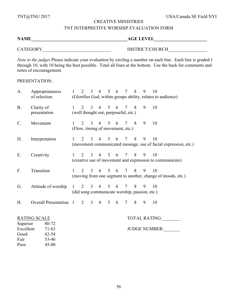### TNT INTERPRETIVE WORSHIP EVALUATION FORM

| <b>NAME</b>     | <b>AGE LEVEL</b> |
|-----------------|------------------|
| <b>CATEGORY</b> | DISTRICT/CHURCH  |

*Note to the judge*: Please indicate your evaluation by circling a number on each line. Each line is graded 1 through 10, with 10 being the best possible. Total all lines at the bottom. Use the back for comments and notes of encouragement.

PRESENTATION:

| A.                                | Appropriateness<br>of selection                             | $1 \quad$ |  |                         |  | 2 3 4 5 6 7                                                             | 8           | 9 | 10<br>(Glorifies God, within groups ability, relates to audience)         |
|-----------------------------------|-------------------------------------------------------------|-----------|--|-------------------------|--|-------------------------------------------------------------------------|-------------|---|---------------------------------------------------------------------------|
| <b>B.</b>                         | Clarity of<br>presentation                                  |           |  |                         |  | $1 \t2 \t3 \t4 \t5 \t6 \t7 \t8$<br>(well thought out, purposeful, etc.) |             | 9 | 10                                                                        |
| $\mathcal{C}$ .                   | Movement                                                    | $1 \quad$ |  |                         |  | 2 3 4 5 6 7 8<br>(Flow, timing of movement, etc.)                       |             | 9 | 10                                                                        |
| D.                                | Interpretation                                              | $1 \quad$ |  |                         |  | 2 3 4 5 6 7 8 9                                                         |             |   | 10<br>(movement communicated message, use of facial expression, etc.)     |
| Е.                                | Creativity                                                  | $1 \quad$ |  |                         |  | 2 3 4 5 6 7 8 9                                                         |             |   | <sup>10</sup><br>(creative use of movement and expression to communicate) |
| $F_{\cdot}$                       | Transition                                                  |           |  |                         |  | $1 \t2 \t3 \t4 \t5 \t6 \t7 \t8 \t9$                                     |             |   | 10<br>(moving from one segment to another, change of moods, etc.)         |
| G.                                | Attitude of worship                                         |           |  | $1 \t2 \t3 \t4 \t5 \t6$ |  | 7 8<br>(did song communicate worship, passion, etc.)                    |             | 9 | 10                                                                        |
| Н.                                | Overall Presentation 1 2 3 4 5 6                            |           |  |                         |  |                                                                         | $7 \quad 8$ | 9 | 10                                                                        |
|                                   | <b>RATING SCALE</b>                                         |           |  |                         |  |                                                                         |             |   | TOTAL RATING:                                                             |
| Excellent<br>Good<br>Fair<br>Poor | Superior<br>80-72<br>$71-63$<br>62-54<br>53-46<br>$45 - 00$ |           |  |                         |  |                                                                         |             |   | <b>JUDGE NUMBER:</b>                                                      |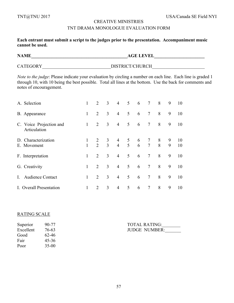### TNT DRAMA MONOLOGUE EVALUATION FORM

**Each entrant must submit a script to the judges prior to the presentation. Accompaniment music cannot be used.**

**NAME\_\_\_\_\_\_\_\_\_\_\_\_\_\_\_\_\_\_\_\_\_\_\_\_\_\_\_\_\_\_\_\_\_\_\_\_\_\_\_\_\_\_AGE LEVEL\_\_\_\_\_\_\_\_\_\_\_\_\_\_\_\_\_\_\_\_\_\_**

CATEGORY\_\_\_\_\_\_\_\_\_\_\_\_\_\_\_\_\_\_\_\_\_\_\_\_\_\_\_\_\_\_DISTRICT/CHURCH\_\_\_\_\_\_\_\_\_\_\_\_\_\_\_\_\_\_\_\_\_\_\_

*Note to the judge*: Please indicate your evaluation by circling a number on each line. Each line is graded 1 through 10, with 10 being the best possible. Total all lines at the bottom. Use the back for comments and notes of encouragement.

|             | A. Selection                            |                              | 2                | 3              | $\overline{4}$ | 5 <sup>5</sup>  | $6\overline{6}$      | $7\overline{ }$ | 8 | 9      | 10       |
|-------------|-----------------------------------------|------------------------------|------------------|----------------|----------------|-----------------|----------------------|-----------------|---|--------|----------|
|             | B. Appearance                           | 1                            | 2                | 3              | $\overline{4}$ | 5 <sup>5</sup>  | 6                    | $7\overline{ }$ | 8 | 9      | 10       |
|             | C. Voice Projection and<br>Articulation | $\mathbf{1}$                 | 2                | 3              | $\overline{4}$ | $5\overline{)}$ | $6\overline{6}$      | $7\overline{ }$ | 8 | 9      | 10       |
|             | D. Characterization<br>E. Movement      | $\mathbf{1}$<br>$\mathbf{1}$ | 2<br>$2 \quad 3$ | $\mathfrak{Z}$ |                |                 | 4 5 6 7<br>4 5 6 7 8 |                 | 8 | 9<br>9 | 10<br>10 |
|             | F. Interpretation                       | $\mathbf{1}$                 | 2                | $\overline{3}$ | $\overline{4}$ | 5 <sup>5</sup>  | 6                    | $7\overline{ }$ | 8 | 9      | 10       |
|             | G. Creativity                           | 1                            | 2                | 3              | $\overline{4}$ | 5 <sup>5</sup>  | 6                    | $7\overline{ }$ | 8 | 9      | 10       |
| $I_{\cdot}$ | <b>Audience Contact</b>                 | 1                            | 2                | 3              | $\overline{4}$ | 5 <sup>5</sup>  | 6                    | $7\overline{ }$ | 8 | 9      | 10       |
|             | I. Overall Presentation                 |                              | $\mathcal{L}$    | 3              | $\overline{4}$ | 5               | 6                    | $7\overline{ }$ | 8 | 9      | 10       |

#### RATING SCALE

| 90-77     |
|-----------|
| 76-63     |
| 62-46     |
| $45 - 36$ |
| $35 - 00$ |
|           |

Superior 90-77 TOTAL RATING:\_\_\_\_\_\_\_\_ JUDGE NUMBER: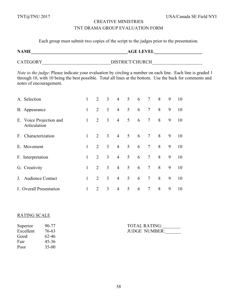# TNT DRAMA GROUP EVALUATION FORM

Each group must submit two copies of the script to the judges prior to the presentation.

**NAME\_\_\_\_\_\_\_\_\_\_\_\_\_\_\_\_\_\_\_\_\_\_\_\_\_\_\_\_\_\_\_\_\_\_\_\_\_\_\_\_\_\_AGE LEVEL\_\_\_\_\_\_\_\_\_\_\_\_\_\_\_\_\_\_\_\_\_**

| CATEGORY | DISTRICT/CHURCH |
|----------|-----------------|

*Note to the judge*: Please indicate your evaluation by circling a number on each line. Each line is graded 1 through 10, with 10 being the best possible. Total all lines at the bottom. Use the back for comments and notes of encouragement.

| A. Selection                            | 1            | 2 | 3              | $\overline{4}$ | 5 <sup>5</sup>  | $6\overline{6}$ | $7\overline{ }$ | 8 | 9 | 10 |
|-----------------------------------------|--------------|---|----------------|----------------|-----------------|-----------------|-----------------|---|---|----|
| B. Appearance                           | $\mathbf{1}$ | 2 | $\overline{3}$ | $\overline{4}$ | 5               | 6               | $7\phantom{.0}$ | 8 | 9 | 10 |
| E. Voice Projection and<br>Articulation | $\mathbf{1}$ | 2 | 3              | $\overline{4}$ | $5\overline{)}$ | 6               | $7\phantom{.0}$ | 8 | 9 | 10 |
| F. Characterization                     | $\mathbf{1}$ | 2 | 3              | $\overline{4}$ | $\overline{5}$  | $6\overline{6}$ | $7\phantom{.0}$ | 8 | 9 | 10 |
| E. Movement                             | $\mathbf{1}$ | 2 | $\overline{3}$ | $\overline{4}$ | $5\overline{)}$ | 6               | $7\overline{ }$ | 8 | 9 | 10 |
| F. Interpretation                       | $\mathbf{1}$ | 2 | $\overline{3}$ | $\overline{4}$ | 5               | 6               | $7\overline{ }$ | 8 | 9 | 10 |
| G. Creativity                           | $\mathbf{1}$ | 2 | $\overline{3}$ | $\overline{4}$ | 5               | 6               | $7\overline{ }$ | 8 | 9 | 10 |
| <b>Audience Contact</b><br>$J_{\cdot}$  | 1            | 2 | $\overline{3}$ | $\overline{4}$ | 5               | 6               | $7\phantom{.0}$ | 8 | 9 | 10 |
| I. Overall Presentation                 | 1            | 2 | 3              | $\overline{4}$ | 5               | 6               | 7               | 8 | 9 | 10 |

### RATING SCALE

| 90-77     |
|-----------|
| 76-63     |
| 62-46     |
| $45 - 36$ |
| $35-00$   |
|           |

TOTAL RATING:\_\_\_\_\_\_\_\_ JUDGE NUMBER: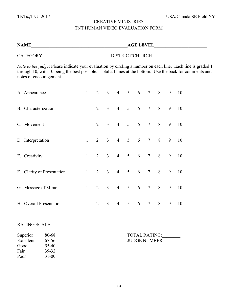# CREATIVE MINISTRIES TNT HUMAN VIDEO EVALUATION FORM

| <b>NAME</b>                                                                                                                                                                                                                                         | <b>AGE LEVEL</b> |                |                |                 |                 |   |                 |   |   |    |
|-----------------------------------------------------------------------------------------------------------------------------------------------------------------------------------------------------------------------------------------------------|------------------|----------------|----------------|-----------------|-----------------|---|-----------------|---|---|----|
|                                                                                                                                                                                                                                                     |                  |                |                |                 | DISTRICT/CHURCH |   |                 |   |   |    |
| Note to the judge: Please indicate your evaluation by circling a number on each line. Each line is graded 1<br>through 10, with 10 being the best possible. Total all lines at the bottom. Use the back for comments and<br>notes of encouragement. |                  |                |                |                 |                 |   |                 |   |   |    |
| A. Appearance                                                                                                                                                                                                                                       | $\mathbf{1}$     | $\overline{2}$ | $\mathfrak{Z}$ | $4\overline{ }$ | 5 <sup>5</sup>  | 6 | $7\overline{ }$ | 8 | 9 | 10 |
| B. Characterization                                                                                                                                                                                                                                 | $\mathbf{1}$     | $\overline{2}$ | $\overline{3}$ | $\overline{4}$  | 5               | 6 | $\overline{7}$  | 8 | 9 | 10 |
| C. Movement                                                                                                                                                                                                                                         | $\mathbf{1}$     | $\overline{2}$ | $\overline{3}$ | $\overline{4}$  | 5               | 6 | $\tau$          | 8 | 9 | 10 |
| D. Interpretation                                                                                                                                                                                                                                   | $\mathbf{1}$     | $\overline{2}$ | $\overline{3}$ | $\overline{4}$  | 5               | 6 | $\overline{7}$  | 8 | 9 | 10 |
| E. Creativity                                                                                                                                                                                                                                       | $\mathbf{1}$     | $\overline{2}$ | $\overline{3}$ | $\overline{4}$  | 5               | 6 | $\tau$          | 8 | 9 | 10 |
| F. Clarity of Presentation                                                                                                                                                                                                                          | $\mathbf{1}$     | $\overline{2}$ | $\overline{3}$ | $\overline{4}$  | 5               | 6 | $\tau$          | 8 | 9 | 10 |
| G. Message of Mime                                                                                                                                                                                                                                  | $\mathbf{1}$     | 2              | $\overline{3}$ | $\overline{4}$  | 5               | 6 | $\tau$          | 8 | 9 | 10 |
| H. Overall Presentation                                                                                                                                                                                                                             | $\mathbf{1}$     | $\overline{2}$ | $\mathfrak{Z}$ | $\overline{4}$  | 5               | 6 | $\tau$          | 8 | 9 | 10 |

# RATING SCALE

| Superior  | 80-68     |
|-----------|-----------|
| Excellent | 67-56     |
| Good      | 55-40     |
| Fair      | 39-32     |
| Poor      | $31 - 00$ |

Superior 80-68 TOTAL RATING: Excellent 67-56 JUDGE NUMBER: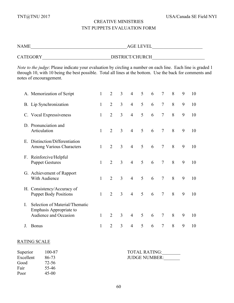# CREATIVE MINISTRIES TNT PUPPETS EVALUATION FORM

| NAME     | <b>AGE LEVEL</b> |  |
|----------|------------------|--|
| CATEGORY | DISTRICT/CHURCH  |  |

*Note to the judge*: Please indicate your evaluation by circling a number on each line. Each line is graded 1 through 10, with 10 being the best possible. Total all lines at the bottom. Use the back for comments and notes of encouragement.

|             | A. Memorization of Script                                                          | 1            | $\overline{2}$ | 3              | $\overline{4}$ | 5 | 6 | $\overline{7}$ | 8 | 9 | 10 |
|-------------|------------------------------------------------------------------------------------|--------------|----------------|----------------|----------------|---|---|----------------|---|---|----|
|             | B. Lip Synchronization                                                             | $\mathbf{1}$ | $\overline{2}$ | $\overline{3}$ | $\overline{4}$ | 5 | 6 | $\overline{7}$ | 8 | 9 | 10 |
|             | C. Vocal Expressiveness                                                            | $\mathbf{1}$ | $\overline{2}$ | 3              | $\overline{4}$ | 5 | 6 | $\overline{7}$ | 8 | 9 | 10 |
|             | D. Pronunciation and<br>Articulation                                               | $\mathbf{1}$ | $\overline{2}$ | $\overline{3}$ | $\overline{4}$ | 5 | 6 | $\overline{7}$ | 8 | 9 | 10 |
| E.          | Distinction/Differentiation<br>Among Various Characters                            | 1            | $\overline{2}$ | $\overline{3}$ | $\overline{4}$ | 5 | 6 | $\overline{7}$ | 8 | 9 | 10 |
| $F_{\cdot}$ | Reinforcive/Helpful<br><b>Puppet Gestures</b>                                      | $\mathbf{1}$ | $\overline{2}$ | $\overline{3}$ | $\overline{4}$ | 5 | 6 | $\overline{7}$ | 8 | 9 | 10 |
|             | G. Achievement of Rapport<br>With Audience                                         | 1            | $\overline{2}$ | $\overline{3}$ | $\overline{4}$ | 5 | 6 | $\overline{7}$ | 8 | 9 | 10 |
|             | H. Consistency/Accuracy of<br><b>Puppet Body Positions</b>                         | $\mathbf{1}$ | $\overline{2}$ | $\overline{3}$ | $\overline{4}$ | 5 | 6 | $\overline{7}$ | 8 | 9 | 10 |
| L           | Selection of Material/Thematic<br>Emphasis Appropriate to<br>Audience and Occasion | 1            | $\overline{2}$ | $\overline{3}$ | $\overline{4}$ | 5 | 6 | $\overline{7}$ | 8 | 9 | 10 |
| J.          | <b>Bonus</b>                                                                       | 1            | $\overline{2}$ | 3              | $\overline{4}$ | 5 | 6 | $\tau$         | 8 | 9 | 10 |

# RATING SCALE

Good 72-56 Fair 55-46 Poor 45-00

| Superior  | 100-87 | <b>TOTAL RATING:</b> |
|-----------|--------|----------------------|
| Excellent | 86-73  | <b>JUDGE NUMBER:</b> |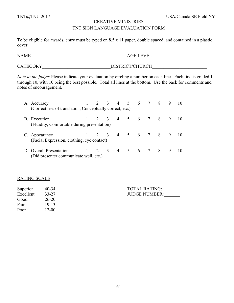### TNT SIGN LANGUAGE EVALUATION FORM

To be eligible for awards, entry must be typed on 8.5 x 11 paper, double spaced, and contained in a plastic cover.

 $\text{AGE} \text{ LEVEL} \qquad \qquad \text{AGE} \text{ LEVEL}$ 

CATEGORY\_\_\_\_\_\_\_\_\_\_\_\_\_\_\_\_\_\_\_\_\_\_\_\_\_\_\_\_\_\_DISTRICT/CHURCH\_\_\_\_\_\_\_\_\_\_\_\_\_\_\_\_\_\_\_\_\_\_\_\_

*Note to the judge*: Please indicate your evaluation by circling a number on each line. Each line is graded 1 through 10, with 10 being the best possible. Total all lines at the bottom. Use the back for comments and notes of encouragement.

| A. Accuracy                                                       |  |  | $2 \t3 \t4 \t5 \t6$                 | 7 8 | 9 | 10        |
|-------------------------------------------------------------------|--|--|-------------------------------------|-----|---|-----------|
| (Correctness of translation, Conceptually correct, etc.)          |  |  |                                     |     |   |           |
| B. Execution<br>(Fluidity, Comfortable during presentation)       |  |  | $1 \t2 \t3 \t4 \t5 \t6 \t7 \t8 \t9$ |     |   | -10       |
| C. Appearance<br>(Facial Expression, clothing, eye contact)       |  |  | 1 2 3 4 5 6 7 8 9                   |     |   | $\Box$ () |
| D. Overall Presentation<br>(Did presenter communicate well, etc.) |  |  | 1 2 3 4 5 6 7 8 9                   |     |   | -10       |

# RATING SCALE

| Superior  | 40-34   | <b>TOTAL RATING:</b> |
|-----------|---------|----------------------|
| Excellent | 33-27   | <b>JUDGE NUMBER:</b> |
| Good      | 26-20   |                      |
| Fair      | 19-13   |                      |
| Poor      | $12-00$ |                      |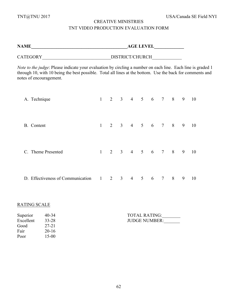# CREATIVE MINISTRIES TNT VIDEO PRODUCTION EVALUATION FORM

|                                                                                                                                                                                                                                                     | AGE LEVEL |                |                                 |                |                |   |                 |   |   |                 |
|-----------------------------------------------------------------------------------------------------------------------------------------------------------------------------------------------------------------------------------------------------|-----------|----------------|---------------------------------|----------------|----------------|---|-----------------|---|---|-----------------|
|                                                                                                                                                                                                                                                     |           |                |                                 |                |                |   |                 |   |   |                 |
| Note to the judge: Please indicate your evaluation by circling a number on each line. Each line is graded 1<br>through 10, with 10 being the best possible. Total all lines at the bottom. Use the back for comments and<br>notes of encouragement. |           |                |                                 |                |                |   |                 |   |   |                 |
| A. Technique                                                                                                                                                                                                                                        | 1         |                | 2 3 4 5 6 7 8 9                 |                |                |   |                 |   |   | $\overline{10}$ |
| B. Content                                                                                                                                                                                                                                          | 1         |                | 2 3 4 5 6 7 8 9                 |                |                |   |                 |   |   | <sup>10</sup>   |
| C. Theme Presented                                                                                                                                                                                                                                  | $1 \quad$ |                | $2 \t3 \t4 \t5 \t6 \t7 \t8 \t9$ |                |                |   |                 |   |   | 10              |
| D. Effectiveness of Communication 1                                                                                                                                                                                                                 |           | $\overline{2}$ | 3 <sup>1</sup>                  | $\overline{4}$ | 5 <sup>5</sup> | 6 | $7\overline{ }$ | 8 | 9 | 10              |

# RATING SCALE

| Superior  | 40-34     |
|-----------|-----------|
| Excellent | 33-28     |
| Good      | 27-21     |
| Fair      | $20 - 16$ |
| Poor      | $15 - 00$ |

| Superior  | $40 - 34$ | <b>TOTAL RATING:</b> |
|-----------|-----------|----------------------|
| Excellent | 33-28     | <b>JUDGE NUMBER:</b> |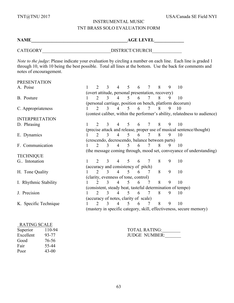# INSTRUMENTAL MUSIC TNT BRASS SOLO EVALUATION FORM

**NAME\_\_\_\_\_\_\_\_\_\_\_\_\_\_\_\_\_\_\_\_\_\_\_\_\_\_\_\_\_\_\_\_\_\_\_\_\_\_\_\_\_\_AGE LEVEL\_\_\_\_\_\_\_\_\_\_\_\_\_**

CATEGORY DISTRICT/CHURCH

*Note to the judge*: Please indicate your evaluation by circling a number on each line. Each line is graded 1 through 10, with 10 being the best possible. Total all lines at the bottom. Use the back for comments and notes of encouragement.

| <b>PRESENTATION</b>   |                                                                     |                             |               |                |                                                   |   |                |   |   |                                                                            |
|-----------------------|---------------------------------------------------------------------|-----------------------------|---------------|----------------|---------------------------------------------------|---|----------------|---|---|----------------------------------------------------------------------------|
| A. Poise              |                                                                     | $\mathcal{D}_{\mathcal{L}}$ | 3             | $\overline{4}$ | 5                                                 | 6 | 7              | 8 | 9 | 10                                                                         |
|                       |                                                                     |                             |               |                | (overt attitude, personal presentation, recovery) |   |                |   |   |                                                                            |
| B. Posture            |                                                                     | $\mathcal{D}_{\mathcal{L}}$ | 3             | $\overline{4}$ | 5                                                 | 6 | 7              | 8 | 9 | 10                                                                         |
|                       |                                                                     |                             |               |                |                                                   |   |                |   |   | (personal carriage, position on bench, platform decorum)                   |
| C. Appropriateness    |                                                                     | 2                           | 3             | $\overline{4}$ | 5                                                 | 6 | 7              | 8 | 9 | 10                                                                         |
|                       |                                                                     |                             |               |                |                                                   |   |                |   |   | (contest caliber, within the performer's ability, relatedness to audience) |
| <b>INTERPRETATION</b> |                                                                     |                             |               |                |                                                   |   |                |   |   |                                                                            |
| D. Phrasing           |                                                                     |                             | 3             | 4              | $\mathcal{F}$                                     | 6 | 7              | 8 | 9 | 10                                                                         |
|                       |                                                                     |                             |               |                |                                                   |   |                |   |   | (precise attack and release, proper use of musical sentence/thought)       |
| E. Dynamics           |                                                                     |                             | 3             | $\overline{4}$ | $\mathcal{F}$                                     | 6 | $\tau$         | 8 | 9 | 10                                                                         |
|                       |                                                                     |                             |               |                | (crescendo, decrescendo, balance between parts)   |   |                |   |   |                                                                            |
| F. Communication      |                                                                     |                             | 3             | $\overline{4}$ | 5                                                 | 6 | 7              | 8 | 9 | 10                                                                         |
|                       |                                                                     |                             |               |                |                                                   |   |                |   |   | (the message coming through, mood set, conveyance of understanding)        |
| <b>TECHNIQUE</b>      |                                                                     |                             |               |                |                                                   |   |                |   |   |                                                                            |
| G. Intonation         |                                                                     | $\mathcal{D}_{\mathcal{A}}$ | 3             |                | 5                                                 | 6 | 7              | 8 | 9 | 10                                                                         |
|                       |                                                                     |                             |               |                | (accuracy and consistency of pitch)               |   |                |   |   |                                                                            |
| H. Tone Quality       |                                                                     | $\mathcal{D}_{\mathcal{L}}$ | 3             | $\overline{4}$ | 5                                                 | 6 |                | 8 | 9 | 10                                                                         |
|                       |                                                                     |                             |               |                | (clarity, evenness of tone, control)              |   |                |   |   |                                                                            |
| I. Rhythmic Stability |                                                                     | $\mathcal{D}_{\mathcal{L}}$ | 3             | $\overline{4}$ | $\mathfrak{S}$                                    | 6 | 7              | 8 | 9 | 10                                                                         |
|                       | (consistent, steady beat, tasteful determination of tempo)          |                             |               |                |                                                   |   |                |   |   |                                                                            |
| J. Precision          |                                                                     | $\mathcal{D}_{\mathcal{L}}$ | $\mathcal{E}$ | $\overline{4}$ | $\overline{5}$                                    | 6 | $\overline{7}$ | 8 | 9 | 10                                                                         |
|                       |                                                                     |                             |               |                | (accuracy of notes, clarity of scale)             |   |                |   |   |                                                                            |
| K. Specific Technique |                                                                     | $\mathcal{D}_{\mathcal{L}}$ | $\mathcal{E}$ | $\overline{4}$ | $\mathcal{F}$                                     | 6 | 7              | 8 | 9 | 10                                                                         |
|                       | (mastery in specific category, skill, effectiveness, secure memory) |                             |               |                |                                                   |   |                |   |   |                                                                            |

#### RATING SCALE

| Superior  | 110-94 |
|-----------|--------|
| Excellent | 93-77  |
| Good      | 76-56  |
| Fair      | 55-44  |
| Poor      | 43-00  |

TOTAL RATING:\_\_\_\_\_\_\_\_ JUDGE NUMBER: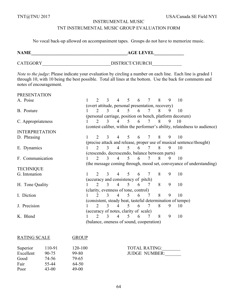#### INSTRUMENTAL MUSIC

### TNT INSTRUMENTAL MUSIC GROUP EVALUATION FORM

No vocal back-up allowed on accompaniment tapes. Groups do not have to memorize music.

**NAME\_\_\_\_\_\_\_\_\_\_\_\_\_\_\_\_\_\_\_\_\_\_\_\_\_\_\_\_\_\_\_\_\_\_\_\_\_\_\_\_\_\_AGE LEVEL\_\_\_\_\_\_\_\_\_\_\_\_\_**

CATEGORY\_\_\_\_\_\_\_\_\_\_\_\_\_\_\_\_\_\_\_\_\_\_\_\_\_\_\_\_\_\_DISTRICT/CHURCH\_\_\_\_\_\_\_\_\_\_\_\_\_

*Note to the judge*: Please indicate your evaluation by circling a number on each line. Each line is graded 1 through 10, with 10 being the best possible. Total all lines at the bottom. Use the back for comments and notes of encouragement.

| <b>PRESENTATION</b>   |                             |               |                |                 |                                                   |                 |   |   |                                                                            |
|-----------------------|-----------------------------|---------------|----------------|-----------------|---------------------------------------------------|-----------------|---|---|----------------------------------------------------------------------------|
| A. Poise              | $\mathcal{D}_{\mathcal{L}}$ | 3             | $\overline{4}$ | 5 <sup>5</sup>  | 6                                                 | $7\phantom{.0}$ | 8 | 9 | 10                                                                         |
|                       |                             |               |                |                 | (overt attitude, personal presentation, recovery) |                 |   |   |                                                                            |
| B. Posture            | $\mathcal{D}_{\mathcal{L}}$ | 3             | $\overline{4}$ | 5               | 6                                                 | $\tau$          | 8 | 9 | 10                                                                         |
|                       |                             |               |                |                 |                                                   |                 |   |   | (personal carriage, position on bench, platform decorum)                   |
| C. Appropriateness    | 2                           | 3             | $\overline{4}$ | 5               | 6                                                 | 7               | 8 | 9 | <sup>10</sup>                                                              |
|                       |                             |               |                |                 |                                                   |                 |   |   | (contest caliber, within the performer's ability, relatedness to audience) |
| <b>INTERPRETATION</b> |                             |               |                |                 |                                                   |                 |   |   |                                                                            |
| D. Phrasing           |                             | $\mathbf{3}$  | $\overline{4}$ | $\mathcal{F}$   | 6                                                 | $\tau$          | 8 | 9 | 10                                                                         |
|                       |                             |               |                |                 |                                                   |                 |   |   | (precise attack and release, proper use of musical sentence/thought)       |
| E. Dynamics           |                             | 3             | $\overline{4}$ | $\mathcal{F}$   | 6                                                 | 7               | 8 | 9 | 10                                                                         |
|                       |                             |               |                |                 | (crescendo, decrescendo, balance between parts)   |                 |   |   |                                                                            |
| F. Communication      |                             | $\mathcal{R}$ | $\overline{4}$ | $\mathcal{F}$   | 6                                                 | 7               | 8 | 9 | 10                                                                         |
|                       |                             |               |                |                 |                                                   |                 |   |   | (the message coming through, mood set, conveyance of understanding)        |
| <b>TECHNIQUE</b>      |                             |               |                |                 |                                                   |                 |   |   |                                                                            |
| G. Intonation         | $\mathcal{D}_{\mathcal{L}}$ |               | 4              | 5               | 6                                                 | $\tau$          | 8 | 9 | 10                                                                         |
|                       |                             |               |                |                 | (accuracy and consistency of pitch)               |                 |   |   |                                                                            |
| H. Tone Quality       | $\overline{2}$              | 3             | $\overline{4}$ | $5\overline{)}$ | 6                                                 | 7               | 8 | 9 | 10                                                                         |
|                       |                             |               |                |                 | (clarity, evenness of tone, control)              |                 |   |   |                                                                            |
| I. Diction            | $\mathcal{D}_{\mathcal{L}}$ | 3             | $\overline{4}$ | $\overline{5}$  | 6                                                 | $\overline{7}$  | 8 | 9 | 10                                                                         |
|                       |                             |               |                |                 |                                                   |                 |   |   | (consistent, steady beat, tasteful determination of tempo)                 |
| J. Precision          | $\mathcal{D}_{\mathcal{L}}$ | $\mathcal{E}$ | $\overline{4}$ | 5               | 6                                                 | $7\phantom{.0}$ | 8 | 9 | 10                                                                         |
|                       |                             |               |                |                 | (accuracy of notes, clarity of scale)             |                 |   |   |                                                                            |
| K. Blend              | $\mathcal{D}_{\cdot}$       | 3             | $\overline{4}$ | 5               | 6                                                 |                 | 8 | 9 | 10                                                                         |
|                       |                             |               |                |                 | (balance, oneness of sound, cooperation)          |                 |   |   |                                                                            |
|                       |                             |               |                |                 |                                                   |                 |   |   |                                                                            |

| <b>RATING SCALE</b> |           | GROUP   |                      |
|---------------------|-----------|---------|----------------------|
| Superior            | 110-91    | 120-100 | <b>TOTAL RATING:</b> |
| Excellent           | $90 - 75$ | 99-80   | <b>JUDGE NUMBER:</b> |
| Good                | 74-56     | 79-65   |                      |
| Fair                | 55-44     | 64-50   |                      |
| Poor                | 43-00     | $49-00$ |                      |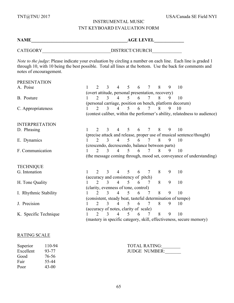# INSTRUMENTAL MUSIC TNT KEYBOARD EVALUATION FORM

**NAME\_\_\_\_\_\_\_\_\_\_\_\_\_\_\_\_\_\_\_\_\_\_\_\_\_\_\_\_\_\_\_\_\_\_\_\_\_\_\_\_\_\_AGE LEVEL\_\_\_\_\_\_\_\_\_\_\_\_\_**

CATEGORY DISTRICT/CHURCH

*Note to the judge*: Please indicate your evaluation by circling a number on each line. Each line is graded 1 through 10, with 10 being the best possible. Total all lines at the bottom. Use the back for comments and notes of encouragement.

| <b>PRESENTATION</b>   |                                                                     |                             |               |                          |                          |                                                   |                 |   |   |                                                                            |
|-----------------------|---------------------------------------------------------------------|-----------------------------|---------------|--------------------------|--------------------------|---------------------------------------------------|-----------------|---|---|----------------------------------------------------------------------------|
| A. Poise              |                                                                     | $\mathcal{D}_{\mathcal{L}}$ | 3             | $\overline{4}$           | $\mathfrak{S}$           | 6                                                 | $\tau$          | 8 | 9 | 10                                                                         |
|                       |                                                                     |                             |               |                          |                          | (overt attitude, personal presentation, recovery) |                 |   |   |                                                                            |
| B. Posture            |                                                                     |                             | 3             | $\overline{4}$           | 5                        | 6                                                 | 7               | 8 | 9 | 10                                                                         |
|                       |                                                                     |                             |               |                          |                          |                                                   |                 |   |   | (personal carriage, position on bench, platform decorum)                   |
| C. Appropriateness    |                                                                     | $\overline{2}$              | $\mathcal{E}$ | $\overline{4}$           | 5                        | 6                                                 | $\tau$          | 8 | 9 | 10                                                                         |
|                       |                                                                     |                             |               |                          |                          |                                                   |                 |   |   | (contest caliber, within the performer's ability, relatedness to audience) |
| <b>INTERPRETATION</b> |                                                                     |                             |               |                          |                          |                                                   |                 |   |   |                                                                            |
| D. Phrasing           |                                                                     | $\mathcal{D}_{\mathcal{L}}$ | 3             | $\overline{4}$           | 5                        | 6                                                 | $7\overline{ }$ | 8 | 9 | 10                                                                         |
|                       |                                                                     |                             |               |                          |                          |                                                   |                 |   |   | (precise attack and release, proper use of musical sentence/thought)       |
| E. Dynamics           |                                                                     | $\mathcal{D}_{\mathcal{L}}$ | 3             | $\overline{4}$           | $\mathcal{F}$            | 6                                                 | 7               | 8 | 9 | 10                                                                         |
|                       |                                                                     |                             |               |                          |                          | (crescendo, decrescendo, balance between parts)   |                 |   |   |                                                                            |
| F. Communication      |                                                                     | $\mathcal{D}_{\mathcal{L}}$ | $\mathcal{E}$ | $\overline{4}$           | $\overline{\mathcal{L}}$ | 6                                                 | $7^{\circ}$     | 8 | 9 | 10                                                                         |
|                       |                                                                     |                             |               |                          |                          |                                                   |                 |   |   | (the message coming through, mood set, conveyance of understanding)        |
| <b>TECHNIQUE</b>      |                                                                     |                             |               |                          |                          |                                                   |                 |   |   |                                                                            |
| G. Intonation         |                                                                     | $\mathcal{D}_{\mathcal{L}}$ | 3             | $\overline{4}$           | 5                        | 6                                                 | $\tau$          | 8 | 9 | 10                                                                         |
|                       |                                                                     |                             |               |                          |                          | (accuracy and consistency of pitch)               |                 |   |   |                                                                            |
| H. Tone Quality       |                                                                     | $\mathcal{L}$               | 3             | $\overline{4}$           | 5                        | 6                                                 | 7               | 8 | 9 | 10                                                                         |
|                       |                                                                     |                             |               |                          |                          | (clarity, evenness of tone, control)              |                 |   |   |                                                                            |
| I. Rhythmic Stability |                                                                     |                             | 3             | $\overline{4}$           | 5                        | 6                                                 | 7               | 8 | 9 | 10                                                                         |
|                       |                                                                     |                             |               |                          |                          |                                                   |                 |   |   | (consistent, steady beat, tasteful determination of tempo)                 |
| J. Precision          |                                                                     | $\overline{2}$              | 3             | $\overline{4}$           | 5                        | 6                                                 | $7\phantom{.0}$ | 8 | 9 | 10                                                                         |
|                       |                                                                     |                             |               |                          |                          | (accuracy of notes, clarity of scale)             |                 |   |   |                                                                            |
| K. Specific Technique |                                                                     | $\mathcal{D}$               | 3             | $\overline{\mathcal{A}}$ | 5                        | 6                                                 | 7               | 8 | 9 | 10                                                                         |
|                       | (mastery in specific category, skill, effectiveness, secure memory) |                             |               |                          |                          |                                                   |                 |   |   |                                                                            |

#### RATING SCALE

| Superior  | 110-94  |
|-----------|---------|
| Excellent | 93-77   |
| Good      | 76-56   |
| Fair      | 55-44   |
| Poor      | $43-00$ |

| Superior  | 110-94 | <b>TOTAL RATING:</b> |
|-----------|--------|----------------------|
| Excellent | 93-77  | <b>JUDGE NUMBER:</b> |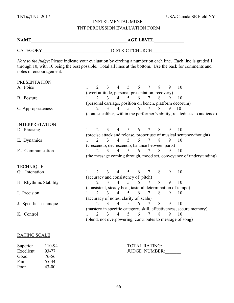# INSTRUMENTAL MUSIC TNT PERCUSSION EVALUATION FORM

**NAME\_\_\_\_\_\_\_\_\_\_\_\_\_\_\_\_\_\_\_\_\_\_\_\_\_\_\_\_\_\_\_\_\_\_\_\_\_\_\_\_\_\_AGE LEVEL\_\_\_\_\_\_\_\_\_\_\_\_\_**

CATEGORY DISTRICT/CHURCH

*Note to the judge*: Please indicate your evaluation by circling a number on each line. Each line is graded 1 through 10, with 10 being the best possible. Total all lines at the bottom. Use the back for comments and notes of encouragement.

| <b>PRESENTATION</b>   |                                                            |                             |               |                |                          |                                       |                 |   |   |                                                                            |
|-----------------------|------------------------------------------------------------|-----------------------------|---------------|----------------|--------------------------|---------------------------------------|-----------------|---|---|----------------------------------------------------------------------------|
| A. Poise              |                                                            | $\mathcal{D}_{\mathcal{L}}$ | 3             | $\overline{4}$ | 5 <sup>5</sup>           | 6                                     | $7\degree$      | 8 | 9 | 10                                                                         |
|                       | (overt attitude, personal presentation, recovery)          |                             |               |                |                          |                                       |                 |   |   |                                                                            |
| B. Posture            |                                                            |                             | 3             | $\overline{4}$ | $\mathcal{F}$            | 6                                     | 7               | 8 | 9 | 10                                                                         |
|                       |                                                            |                             |               |                |                          |                                       |                 |   |   | (personal carriage, position on bench, platform decorum)                   |
| C. Appropriateness    |                                                            | 2                           | 3             | $\overline{4}$ | $\overline{5}$           | 6                                     | $7\overline{ }$ | 8 | 9 | 10                                                                         |
|                       |                                                            |                             |               |                |                          |                                       |                 |   |   | (contest caliber, within the performer's ability, relatedness to audience) |
| <b>INTERPRETATION</b> |                                                            |                             |               |                |                          |                                       |                 |   |   |                                                                            |
| D. Phrasing           |                                                            | $\mathcal{D}_{\mathcal{L}}$ | 3             | $\overline{4}$ | $\overline{5}$           | 6                                     | $7\overline{ }$ | 8 | 9 | 10                                                                         |
|                       |                                                            |                             |               |                |                          |                                       |                 |   |   | (precise attack and release, proper use of musical sentence/thought)       |
| E. Dynamics           |                                                            | $\mathcal{D}_{\mathcal{L}}$ | 3             | $\overline{4}$ | $5^{\circ}$              | 6                                     | $7\overline{ }$ | 8 | 9 | 10                                                                         |
|                       | (crescendo, decrescendo, balance between parts)            |                             |               |                |                          |                                       |                 |   |   |                                                                            |
| F. Communication      |                                                            | $\mathcal{D}$               | $\mathcal{E}$ | $\overline{4}$ | $\overline{\mathcal{L}}$ | 6                                     | $7\overline{ }$ | 8 | 9 | 10                                                                         |
|                       |                                                            |                             |               |                |                          |                                       |                 |   |   | (the message coming through, mood set, conveyance of understanding)        |
| <b>TECHNIQUE</b>      |                                                            |                             |               |                |                          |                                       |                 |   |   |                                                                            |
| G. Intonation         |                                                            | $\mathcal{D}$               | 3             | $\overline{4}$ | $\overline{5}$           | 6                                     | $7\overline{ }$ | 8 | 9 | 10                                                                         |
|                       |                                                            |                             |               |                |                          | (accuracy and consistency of pitch)   |                 |   |   |                                                                            |
| H. Rhythmic Stability |                                                            | $\mathcal{D}_{\mathcal{L}}$ | 3             | $\overline{4}$ | $\mathfrak{H}$           | 6                                     | 7               | 8 | 9 | 10                                                                         |
|                       | (consistent, steady beat, tasteful determination of tempo) |                             |               |                |                          |                                       |                 |   |   |                                                                            |
| I. Precision          |                                                            | $\mathcal{D}_{\mathcal{L}}$ | $\mathcal{E}$ | $\overline{4}$ | $\mathcal{F}$            | 6                                     | $\tau$          | 8 | 9 | 10                                                                         |
|                       |                                                            |                             |               |                |                          | (accuracy of notes, clarity of scale) |                 |   |   |                                                                            |
| J. Specific Technique |                                                            | $\overline{2}$              | $\mathcal{E}$ | $\overline{4}$ | $\overline{5}$           | 6                                     | 7               | 8 | 9 | 10                                                                         |
|                       |                                                            |                             |               |                |                          |                                       |                 |   |   | (mastery in specific category, skill, effectiveness, secure memory)        |
| K. Control            |                                                            | $\mathcal{D}$               | 3             | 4              | $\overline{\mathcal{L}}$ | 6                                     | 7               | 8 | 9 | 10                                                                         |
|                       |                                                            |                             |               |                |                          |                                       |                 |   |   | (blend, not overpowering, contributes to message of song)                  |

#### RATING SCALE

| Superior  | 110-94  |
|-----------|---------|
| Excellent | 93-77   |
| Good      | 76-56   |
| Fair      | 55-44   |
| Poor      | $43-00$ |

| Superior        | 110-94 | <b>TOTAL RATING:</b> |
|-----------------|--------|----------------------|
| Excellent 93-77 |        | <b>JUDGE NUMBER:</b> |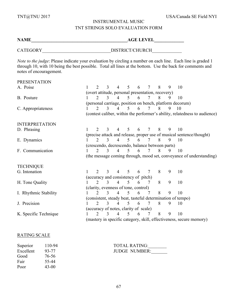# INSTRUMENTAL MUSIC TNT STRINGS SOLO EVALUATION FORM

**NAME\_\_\_\_\_\_\_\_\_\_\_\_\_\_\_\_\_\_\_\_\_\_\_\_\_\_\_\_\_\_\_\_\_\_\_\_\_\_\_\_\_\_AGE LEVEL\_\_\_\_\_\_\_\_\_\_\_\_\_**

CATEGORY DISTRICT/CHURCH

*Note to the judge*: Please indicate your evaluation by circling a number on each line. Each line is graded 1 through 10, with 10 being the best possible. Total all lines at the bottom. Use the back for comments and notes of encouragement.

| <b>PRESENTATION</b>   |                             |               |                          |                          |                                                   |                 |   |   |                                                                            |
|-----------------------|-----------------------------|---------------|--------------------------|--------------------------|---------------------------------------------------|-----------------|---|---|----------------------------------------------------------------------------|
| A. Poise              | $\mathcal{L}$               | 3             | $\overline{4}$           | 5 <sup>5</sup>           | 6                                                 | $\tau$          | 8 | 9 | 10                                                                         |
|                       |                             |               |                          |                          | (overt attitude, personal presentation, recovery) |                 |   |   |                                                                            |
| B. Posture            |                             |               | $\overline{\mathcal{A}}$ | 5                        | 6                                                 | 7               | 8 | 9 | 10                                                                         |
|                       |                             |               |                          |                          |                                                   |                 |   |   | (personal carriage, position on bench, platform decorum)                   |
| C. Appropriateness    | $\mathcal{D}_{\mathcal{L}}$ | $\mathcal{E}$ | $\overline{4}$           | $\mathcal{F}$            | 6                                                 | $7\overline{ }$ | 8 | 9 | 10                                                                         |
|                       |                             |               |                          |                          |                                                   |                 |   |   | (contest caliber, within the performer's ability, relatedness to audience) |
| <b>INTERPRETATION</b> |                             |               |                          |                          |                                                   |                 |   |   |                                                                            |
| D. Phrasing           | $\mathcal{D}_{\mathcal{L}}$ | 3             | $\overline{4}$           | 5                        | 6                                                 | 7               | 8 | 9 | 10                                                                         |
|                       |                             |               |                          |                          |                                                   |                 |   |   | (precise attack and release, proper use of musical sentence/thought)       |
| E. Dynamics           | $\mathcal{D}_{\mathcal{L}}$ | $\mathcal{E}$ | $\overline{4}$           | $\overline{\mathcal{L}}$ | 6                                                 | $7\overline{ }$ | 8 | 9 | 10                                                                         |
|                       |                             |               |                          |                          | (crescendo, decrescendo, balance between parts)   |                 |   |   |                                                                            |
| F. Communication      | $\mathcal{D}_{\mathcal{L}}$ | 3             | $\overline{4}$           | 5                        | 6                                                 | 7               | 8 | 9 | 10                                                                         |
|                       |                             |               |                          |                          |                                                   |                 |   |   | (the message coming through, mood set, conveyance of understanding)        |
| <b>TECHNIQUE</b>      |                             |               |                          |                          |                                                   |                 |   |   |                                                                            |
| G. Intonation         | $\mathcal{D}_{\mathcal{L}}$ | $\mathbf{3}$  | 4                        | 5                        | 6                                                 | $\overline{7}$  | 8 | 9 | 10                                                                         |
|                       |                             |               |                          |                          | (accuracy and consistency of pitch)               |                 |   |   |                                                                            |
| H. Tone Quality       | $\mathcal{L}$               | 3             | $\overline{4}$           | 5 <sup>5</sup>           | 6                                                 | 7               | 8 | 9 | 10                                                                         |
|                       |                             |               |                          |                          | (clarity, evenness of tone, control)              |                 |   |   |                                                                            |
| I. Rhythmic Stability | $\mathcal{D}$               | 3             | $\overline{4}$           | 5                        | 6                                                 | 7               | 8 | 9 | 10                                                                         |
|                       |                             |               |                          |                          |                                                   |                 |   |   | (consistent, steady beat, tasteful determination of tempo)                 |
| J. Precision          | $\overline{2}$              | $\mathcal{E}$ | $\overline{4}$           | 5                        | 6                                                 | $\overline{7}$  | 8 | 9 | 10                                                                         |
|                       |                             |               |                          |                          | (accuracy of notes, clarity of scale)             |                 |   |   |                                                                            |
| K. Specific Technique | $\mathcal{D}_{\mathcal{L}}$ | $\mathbf{3}$  | $\overline{4}$           | 5                        | 6                                                 | 7               | 8 | 9 | 10                                                                         |
|                       |                             |               |                          |                          |                                                   |                 |   |   | (mastery in specific category, skill, effectiveness, secure memory)        |

#### RATING SCALE

| Superior  | 110-94 |
|-----------|--------|
| Excellent | 93-77  |
| Good      | 76-56  |
| Fair      | 55-44  |
| Poor      | 43-00  |

Superior 110-94 TOTAL RATING:\_\_\_\_\_\_\_\_ JUDGE NUMBER: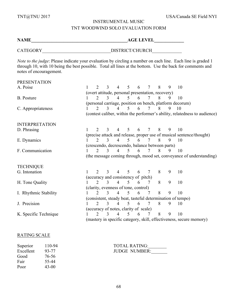# INSTRUMENTAL MUSIC

# TNT WOODWIND SOLO EVALUATION FORM

**NAME\_\_\_\_\_\_\_\_\_\_\_\_\_\_\_\_\_\_\_\_\_\_\_\_\_\_\_\_\_\_\_\_\_\_\_\_\_\_\_\_\_\_AGE LEVEL\_\_\_\_\_\_\_\_\_\_\_\_\_**

CATEGORY DISTRICT/CHURCH

*Note to the judge*: Please indicate your evaluation by circling a number on each line. Each line is graded 1 through 10, with 10 being the best possible. Total all lines at the bottom. Use the back for comments and notes of encouragement.

| <b>PRESENTATION</b>                                                 |                                                            |                             |               |                                                 |                                                   |   |                 |   |   |                                                                            |  |  |
|---------------------------------------------------------------------|------------------------------------------------------------|-----------------------------|---------------|-------------------------------------------------|---------------------------------------------------|---|-----------------|---|---|----------------------------------------------------------------------------|--|--|
| A. Poise                                                            |                                                            | $\mathcal{D}_{\mathcal{L}}$ | 3             | $\overline{4}$                                  | 5 <sup>5</sup>                                    | 6 | $7\phantom{.0}$ | 8 | 9 | 10                                                                         |  |  |
|                                                                     |                                                            |                             |               |                                                 | (overt attitude, personal presentation, recovery) |   |                 |   |   |                                                                            |  |  |
| B. Posture                                                          |                                                            | $\mathcal{D}$               | 3             | $\overline{4}$                                  | 5 <sup>1</sup>                                    | 6 | 7               | 8 |   | 10                                                                         |  |  |
|                                                                     | (personal carriage, position on bench, platform decorum)   |                             |               |                                                 |                                                   |   |                 |   |   |                                                                            |  |  |
| C. Appropriateness                                                  |                                                            | 2                           | 3             | $\overline{4}$                                  | 5                                                 | 6 | 7               | 8 | 9 | 10                                                                         |  |  |
|                                                                     |                                                            |                             |               |                                                 |                                                   |   |                 |   |   | (contest caliber, within the performer's ability, relatedness to audience) |  |  |
| <b>INTERPRETATION</b>                                               |                                                            |                             |               |                                                 |                                                   |   |                 |   |   |                                                                            |  |  |
| D. Phrasing                                                         |                                                            | $\mathcal{D}$               | 3             | $\overline{4}$                                  | 5                                                 | 6 | $7\overline{ }$ | 8 | 9 | 10                                                                         |  |  |
|                                                                     |                                                            |                             |               |                                                 |                                                   |   |                 |   |   | (precise attack and release, proper use of musical sentence/thought)       |  |  |
| E. Dynamics                                                         |                                                            | $\mathcal{D}_{\mathcal{L}}$ | 3             | $\overline{4}$                                  | 5 <sup>1</sup>                                    | 6 | $7\overline{ }$ | 8 | 9 | 10                                                                         |  |  |
|                                                                     |                                                            |                             |               | (crescendo, decrescendo, balance between parts) |                                                   |   |                 |   |   |                                                                            |  |  |
| F. Communication                                                    |                                                            | $\mathcal{D}_{\mathcal{L}}$ | $\mathcal{E}$ | $\overline{4}$                                  | $\mathcal{F}$                                     | 6 | $\tau$          | 8 | 9 | 10                                                                         |  |  |
|                                                                     |                                                            |                             |               |                                                 |                                                   |   |                 |   |   | (the message coming through, mood set, conveyance of understanding)        |  |  |
| <b>TECHNIQUE</b>                                                    |                                                            |                             |               |                                                 |                                                   |   |                 |   |   |                                                                            |  |  |
| G. Intonation                                                       |                                                            | $\mathcal{D}$               | 3             | $\overline{4}$                                  | 5                                                 | 6 | $\tau$          | 8 | 9 | 10                                                                         |  |  |
|                                                                     |                                                            |                             |               | (accuracy and consistency of pitch)             |                                                   |   |                 |   |   |                                                                            |  |  |
| H. Tone Quality                                                     |                                                            | $\mathcal{D}_{\mathcal{L}}$ | 3             | $\overline{4}$                                  | 5 <sup>5</sup>                                    | 6 | 7               | 8 | 9 | 10                                                                         |  |  |
|                                                                     |                                                            |                             |               | (clarity, evenness of tone, control)            |                                                   |   |                 |   |   |                                                                            |  |  |
| I. Rhythmic Stability                                               |                                                            | $\mathcal{D}_{\mathcal{L}}$ | $\mathcal{L}$ | $\overline{4}$                                  | 5                                                 | 6 | 7               | 8 | 9 | 10                                                                         |  |  |
|                                                                     | (consistent, steady beat, tasteful determination of tempo) |                             |               |                                                 |                                                   |   |                 |   |   |                                                                            |  |  |
| J. Precision                                                        |                                                            | $\mathcal{D}_{\mathcal{L}}$ | 3             | $\overline{4}$                                  | 5                                                 | 6 | $\tau$          | 8 | 9 | 10                                                                         |  |  |
|                                                                     |                                                            |                             |               | (accuracy of notes, clarity of scale)           |                                                   |   |                 |   |   |                                                                            |  |  |
| K. Specific Technique                                               |                                                            | $\mathcal{D}$               | $\mathbf{3}$  | 4                                               | 5                                                 | 6 | 7               | 8 | 9 | 10                                                                         |  |  |
| (mastery in specific category, skill, effectiveness, secure memory) |                                                            |                             |               |                                                 |                                                   |   |                 |   |   |                                                                            |  |  |

#### RATING SCALE

| Superior  | $110 - 94$ |
|-----------|------------|
| Excellent | 93-77      |
| Good      | 76-56      |
| Fair      | 55-44      |
| Poor      | 43-00      |

| Superior  | 110-94 | <b>TOTAL RATING:</b> |
|-----------|--------|----------------------|
| Excellent | 93-77  | <b>JUDGE NUMBER:</b> |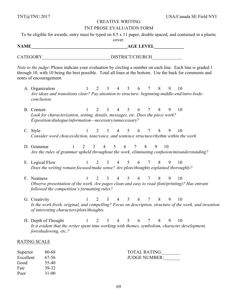#### CREATIVE WRITING

#### TNT PROSE EVALUATION FORM

To be eligible for awards, entry must be typed on 8.5 x 11 paper, double spaced, and contained in a plastic cover.

**NAME** AGE LEVEL

CATEGORY\_\_\_\_\_\_\_\_\_\_\_\_\_\_\_\_\_\_\_\_\_\_\_\_\_\_\_\_\_\_DISTRICT/CHURCH\_\_\_\_\_\_\_\_\_\_\_\_\_

*Note to the judge*: Please indicate your evaluation by circling a number on each line. Each line is graded 1 through 10, with 10 being the best possible. Total all lines at the bottom. Use the back for comments and notes of encouragement.

- A. Organization 1 2 3 4 5 6 7 8 9 10 *Are ideas and transitions clear? Pay attention to structure: beginning-middle-end/intro-bodyconclusion.*
- B. Content 1 2 3 4 5 6 7 8 9 10 *Look for characterization, setting, details, messages, etc. Does the piece work? Exposition/dialogue/information—necessary/unnecessary?*
- C. Style 1 2 3 4 5 6 7 8 9 10 *Consider word choices/diction, tone/voice, and sentence structure/rhythm within the work.*
- D. Grammar 1 2 3 4 5 6 7 8 9 10 *Are the rules of grammar upheld throughout the work, eliminating confusion/misunderstanding?*
- E. Logical Flow 1 2 3 4 5 6 7 8 9 10 *Does the writing remain focused/make sense? Are plots/thoughts explained thoroughly?*
- F. Neatness 1 2 3 4 5 6 7 8 9 10 *Observe presentation of the work. Are pages clean and easy to read (font/printing)? Has entrant followed the competition's formatting rules?*
- G. Creativity 1 2 3 4 5 6 7 8 9 10 *Is the work fresh, original, and compelling? Focus on description, structure of the work, and invention of interesting characters/plots/thoughts.*
- H. Depth of Thought 1 2 3 4 5 6 7 8 9 10 *Is it evident that the writer spent time working with themes, symbolism, character development, foreshadowing, etc.?*

#### RATING SCALE

Good 55-40 Fair 39-32 Poor 31-00

| Superior        | 80-68 | <b>TOTAL RATING:</b> |
|-----------------|-------|----------------------|
| Excellent 67-56 |       | <b>JUDGE NUMBER:</b> |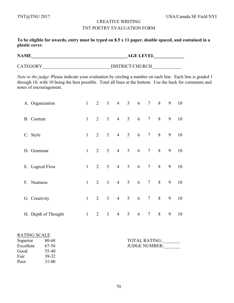# CREATIVE WRITING TNT POETRY EVALUATION FORM

**To be eligible for awards, entry must be typed on 8.5 x 11 paper, double spaced, and contained in a plastic cover.**

**NAME\_\_\_\_\_\_\_\_\_\_\_\_\_\_\_\_\_\_\_\_\_\_\_\_\_\_\_\_\_\_\_\_\_\_\_\_\_\_\_\_\_\_AGE LEVEL\_\_\_\_\_\_\_\_\_\_\_\_\_**

CATEGORY\_\_\_\_\_\_\_\_\_\_\_\_\_\_\_\_\_\_\_\_\_\_\_\_\_\_\_\_\_\_DISTRICT/CHURCH\_\_\_\_\_\_\_\_\_\_\_\_\_

*Note to the judge*: Please indicate your evaluation by circling a number on each line. Each line is graded 1 through 10, with 10 being the best possible. Total all lines at the bottom. Use the back for comments and notes of encouragement.

| A. Organization     | $\mathbf{1}$ | $\overline{2}$ | $\overline{3}$ | $\overline{4}$ | 5 <sup>5</sup>  | 6 | 7 <sup>7</sup>  | 8 | 9 | 10 |
|---------------------|--------------|----------------|----------------|----------------|-----------------|---|-----------------|---|---|----|
| B. Content          | $\mathbf{1}$ | $\overline{2}$ | 3 <sup>1</sup> | $\overline{4}$ | 5 <sup>5</sup>  | 6 | $7\overline{ }$ | 8 | 9 | 10 |
| C. Style            | $\mathbf{1}$ | $\overline{2}$ | 3 <sup>1</sup> | $\overline{4}$ | 5               | 6 | $7\overline{ }$ | 8 | 9 | 10 |
| D. Grammar          | $\mathbf{1}$ | $\overline{2}$ | 3 <sup>1</sup> | $\overline{4}$ | $5\overline{)}$ | 6 | $7\overline{ }$ | 8 | 9 | 10 |
| E. Logical Flow     | $\mathbf{1}$ | $\overline{2}$ | 3 <sup>1</sup> | $\overline{4}$ | 5 <sup>5</sup>  | 6 | $7\overline{ }$ | 8 | 9 | 10 |
| F. Neatness         | $\mathbf{1}$ | $\overline{2}$ | 3 <sup>1</sup> | $\overline{4}$ | 5               | 6 | $7\overline{ }$ | 8 | 9 | 10 |
| G. Creativity       | $\mathbf{1}$ | $\overline{2}$ | 3 <sup>1</sup> | $\overline{4}$ | 5               | 6 | 7 <sup>7</sup>  | 8 | 9 | 10 |
| H. Depth of Thought | $\mathbf{1}$ | 2              | $\overline{3}$ | $\overline{4}$ | 5               | 6 | $\tau$          | 8 | 9 | 10 |

| <b>RATING SCALE</b> |           |
|---------------------|-----------|
| Superior            | 80-68     |
| Excellent           | 67-56     |
| Good                | 55-40     |
| Fair                | 39-32     |
| Poor                | $31 - 00$ |

| Superior        | 80-68 | <b>TOTAL RATING:</b> |
|-----------------|-------|----------------------|
| Excellent 67-56 |       | <b>JUDGE NUMBER:</b> |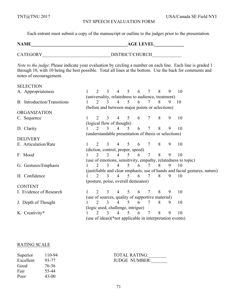#### TNT SPEECH EVALUATION FORM

Each entrant must submit a copy of the manuscript or outline to the judges prior to the presentation.

**NAME\_\_\_\_\_\_\_\_\_\_\_\_\_\_\_\_\_\_\_\_\_\_\_\_\_\_\_\_\_\_\_\_\_\_\_\_\_\_\_\_\_\_AGE LEVEL\_\_\_\_\_\_\_\_\_\_\_\_\_**

CATEGORY DISTRICT/CHURCH

*Note to the judge*: Please indicate your evaluation by circling a number on each line. Each line is graded 1 through 10, with 10 being the best possible. Total all lines at the bottom. Use the back for comments and notes of encouragement.

#### **SELECTION**

| $\mathcal{D}_{\mathcal{L}}$ | 3             | $\overline{4}$ | 5                           | 6                         | 7                                                                      | 8                                  | 9 | 10                                                                                                                                                                                                                                                                                                                                                                                                                            |
|-----------------------------|---------------|----------------|-----------------------------|---------------------------|------------------------------------------------------------------------|------------------------------------|---|-------------------------------------------------------------------------------------------------------------------------------------------------------------------------------------------------------------------------------------------------------------------------------------------------------------------------------------------------------------------------------------------------------------------------------|
|                             |               |                |                             |                           |                                                                        |                                    |   |                                                                                                                                                                                                                                                                                                                                                                                                                               |
|                             |               | 4              | 5.                          | 6                         | 7                                                                      | 8                                  | 9 | 10                                                                                                                                                                                                                                                                                                                                                                                                                            |
|                             |               |                |                             |                           |                                                                        |                                    |   |                                                                                                                                                                                                                                                                                                                                                                                                                               |
|                             |               |                |                             |                           |                                                                        |                                    |   |                                                                                                                                                                                                                                                                                                                                                                                                                               |
|                             |               | 4              | 5                           | 6                         | 7                                                                      | 8                                  | 9 | 10                                                                                                                                                                                                                                                                                                                                                                                                                            |
|                             |               |                |                             |                           |                                                                        |                                    |   |                                                                                                                                                                                                                                                                                                                                                                                                                               |
|                             | 3             | $\Delta$       | 5                           | 6                         | 7                                                                      | 8                                  | 9 | 10                                                                                                                                                                                                                                                                                                                                                                                                                            |
|                             |               |                |                             |                           |                                                                        |                                    |   |                                                                                                                                                                                                                                                                                                                                                                                                                               |
|                             |               |                |                             |                           |                                                                        |                                    |   |                                                                                                                                                                                                                                                                                                                                                                                                                               |
|                             | 3             |                | 5                           | 6                         | 7                                                                      | 8                                  | 9 | 10                                                                                                                                                                                                                                                                                                                                                                                                                            |
|                             |               |                |                             |                           |                                                                        |                                    |   |                                                                                                                                                                                                                                                                                                                                                                                                                               |
| $\mathcal{D}$               | 3             | $\overline{4}$ | 5                           | 6                         | 7                                                                      | 8                                  | 9 | 10                                                                                                                                                                                                                                                                                                                                                                                                                            |
|                             |               |                |                             |                           |                                                                        |                                    |   |                                                                                                                                                                                                                                                                                                                                                                                                                               |
| $\mathcal{D}$               | $\mathcal{L}$ | $\overline{4}$ | 5                           | 6                         |                                                                        | 8                                  | 9 | 10                                                                                                                                                                                                                                                                                                                                                                                                                            |
|                             |               |                |                             |                           |                                                                        |                                    |   |                                                                                                                                                                                                                                                                                                                                                                                                                               |
| $\mathcal{D}$               | $\mathcal{L}$ | 4              | $\mathcal{F}_{\mathcal{F}}$ | 6                         |                                                                        | 8                                  | 9 | 10                                                                                                                                                                                                                                                                                                                                                                                                                            |
|                             |               |                |                             |                           |                                                                        |                                    |   |                                                                                                                                                                                                                                                                                                                                                                                                                               |
|                             |               |                |                             |                           |                                                                        |                                    |   |                                                                                                                                                                                                                                                                                                                                                                                                                               |
|                             |               |                | 5                           | 6                         | 7                                                                      | 8                                  | 9 | 10                                                                                                                                                                                                                                                                                                                                                                                                                            |
|                             |               |                |                             |                           |                                                                        |                                    |   |                                                                                                                                                                                                                                                                                                                                                                                                                               |
| $\mathcal{D}_{\mathcal{L}}$ | $\mathcal{E}$ | $\overline{4}$ | 5                           | 6                         | 7                                                                      | 8                                  | 9 | 10                                                                                                                                                                                                                                                                                                                                                                                                                            |
|                             |               |                |                             |                           |                                                                        |                                    |   |                                                                                                                                                                                                                                                                                                                                                                                                                               |
| $\mathcal{D}_{\mathcal{L}}$ | 3             | $\overline{4}$ | 5                           | 6                         | 7                                                                      | 8                                  | 9 | 10                                                                                                                                                                                                                                                                                                                                                                                                                            |
|                             |               |                |                             |                           |                                                                        |                                    |   |                                                                                                                                                                                                                                                                                                                                                                                                                               |
|                             |               |                |                             | (logical flow of thought) | (diction, control, proper, speed)<br>(logic used, challenge, intrigue) | (posture, poise, overall demeanor) |   | (universality, relatedness to audience, treatment)<br>(before and between major points or selections)<br>(understandable presentation of thesis or selections)<br>(use of emotions, sensitivity, empathy, relatedness to topic)<br>(justifiable and clear emphasis, use of hands and facial gestures, nature)<br>(use of sources, quality of supportive material)<br>(use of ideas)(*not applicable in interpretation events) |

#### RATING SCALE

| 110-94  |
|---------|
| 93-77   |
| 76-56   |
| 55-44   |
| $43-00$ |
|         |

Superior 110-94 TOTAL RATING: Excellent 93-77 JUDGE NUMBER: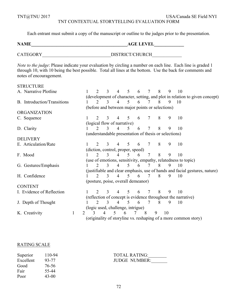TNT@TNU 2017 USA/Canada SE Field NYI TNT CONTEXTUAL STORYTELLING EVALUATION FORM

Each entrant must submit a copy of the manuscript or outline to the judges prior to the presentation.

**NAME\_\_\_\_\_\_\_\_\_\_\_\_\_\_\_\_\_\_\_\_\_\_\_\_\_\_\_\_\_\_\_\_\_\_\_\_\_\_\_\_\_\_AGE LEVEL\_\_\_\_\_\_\_\_\_\_\_\_\_** CATEGORY DISTRICT/CHURCH *Note to the judge*: Please indicate your evaluation by circling a number on each line. Each line is graded 1 through 10, with 10 being the best possible. Total all lines at the bottom. Use the back for comments and notes of encouragement. **STRUCTURE** A. Narrative Plotline 1 2 3 4 5 6 7 8 9 10 (development of character, setting, and plot in relation to given concept) B. Introduction/Transitions 1 2 3 4 5 6 7 8 9 10 (before and between major points or selections) ORGANIZATION C. Sequence 1 2 3 4 5 6 7 8 9 10 (logical flow of narrative) D. Clarity 1 2 3 4 5 6 7 8 9 10 (understandable presentation of thesis or selections) DELIVERY E. Articulation/Rate 1 2 3 4 5 6 7 8 9 10 (diction, control, proper, speed) F. Mood 1 2 3 4 5 6 7 8 9 10 (use of emotions, sensitivity, empathy, relatedness to topic) G. Gestures/Emphasis 1 2 3 4 5 6 7 8 9 10 (justifiable and clear emphasis, use of hands and facial gestures, nature) H. Confidence 1 2 3 4 5 6 7 8 9 10 (posture, poise, overall demeanor) **CONTENT** I. Evidence of Reflection 1 2 3 4 5 6 7 8 9 10 (reflection of concept is evidence throughout the narrative) J. Depth of Thought 1 2 3 4 5 6 7 8 9 10 (logic used, challenge, intrigue) K. Creativity 1 2 3 4 5 6 7 8 9 10 (originality of storyline vs. reshaping of a more common story)

#### RATING SCALE

| 110-94  |
|---------|
| 93-77   |
| 76-56   |
| 55-44   |
| $43-00$ |
|         |

Superior 110-94 TOTAL RATING:\_\_\_\_\_\_\_\_ JUDGE NUMBER: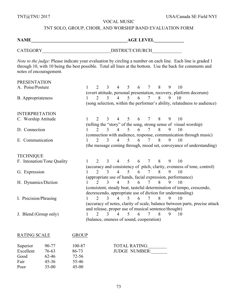TNT@TNU 2017 USA/Canada SE Field NYI

VOCAL MUSIC

## TNT SOLO, GROUP, CHOIR, AND WORSHIP BAND EVALUATION FORM

## **NAME** AGE LEVEL CATEGORY DISTRICT/CHURCH *Note to the judge*: Please indicate your evaluation by circling a number on each line. Each line is graded 1 through 10, with 10 being the best possible. Total all lines at the bottom. Use the back for comments and notes of encouragement. PRESENTATION A. Poise/Posture 1 2 3 4 5 6 7 8 9 10 (overt attitude, personal presentation, recovery, platform decorum) B. Appropriateness 1 2 3 4 5 6 7 8 9 10 (song selection, within the performer's ability, relatedness to audience) INTERPRETATION C. Worship Attitude 1 2 3 4 5 6 7 8 9 10 (telling the "story" of the song, strong sense of visual worship) D. Connection 1 2 3 4 5 6 7 8 9 10 (connection with audience, response, communication through music) E. Communication 1 2 3 4 5 6 7 8 9 10 (the message coming through, mood set, conveyance of understanding) **TECHNIOUE** F. Intonation/Tone Quality 1 2 3 4 5 6 7 8 9 10 (accuracy and consistency of pitch, clarity, evenness of tone, control) G. Expression 1 2 3 4 5 6 7 8 9 10 (appropriate use of hands, facial expression, performance) H. Dynamics/Diction 1 2 3 4 5 6 7 8 9 10 (consistent, steady beat, tasteful determination of tempo, crescendo, decrescendo, appropriate use of diction for understanding) I. Precision/Phrasing 1 2 3 4 5 6 7 8 9 10 (accuracy of notes, clarity of scale, balance between parts, precise attack and release, proper use of musical sentence/thought) J. Blend (Group only) 1 2 3 4 5 6 7 8 9 10 (balance, oneness of sound, cooperation) DATING SCALE GROUP

| <b>NATINU SUALE</b> |           | UNUUF     |                      |
|---------------------|-----------|-----------|----------------------|
| Superior            | 90-77     | 100-87    | <b>TOTAL RATING:</b> |
| Excellent           | 76-63     | 86-73     | <b>JUDGE NUMBER:</b> |
| Good                | 62-46     | $72 - 56$ |                      |
| Fair                | $45 - 36$ | 55-46     |                      |
| Poor                | $35-00$   | $45 - 00$ |                      |